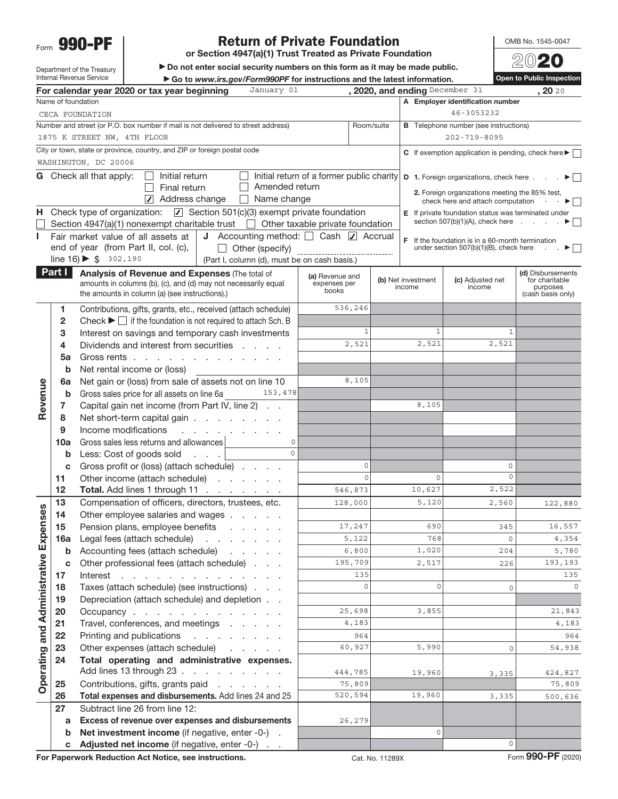Form 990-PF

### Return of Private Foundation

or Section 4947(a)(1) Trust Treated as Private Foundation

OMB No. 1545-0047

Department of the Treasury Internal Revenue Service

 $\blacktriangleright$  Do not enter social security numbers on this form as it may be made public. ▶ Go to www.irs.gov/Form990PF for instructions and the latest information.

| <b>Open to Public Inspection</b> |
|----------------------------------|
|                                  |

|                                 |                    | January 01<br>For calendar year 2020 or tax year beginning                                                                                                |                                           | , 2020, and ending December 31 |            |                                                                                                     | , 20 20                             |
|---------------------------------|--------------------|-----------------------------------------------------------------------------------------------------------------------------------------------------------|-------------------------------------------|--------------------------------|------------|-----------------------------------------------------------------------------------------------------|-------------------------------------|
|                                 | Name of foundation |                                                                                                                                                           |                                           |                                |            | A Employer identification number                                                                    |                                     |
|                                 |                    | CECA FOUNDATION                                                                                                                                           |                                           |                                |            | 46-3053232                                                                                          |                                     |
|                                 |                    | Number and street (or P.O. box number if mail is not delivered to street address)                                                                         |                                           | Room/suite                     |            | <b>B</b> Telephone number (see instructions)                                                        |                                     |
|                                 |                    | 1875 K STREET NW, 4TH FLOOR                                                                                                                               |                                           |                                |            | $202 - 719 - 8095$                                                                                  |                                     |
|                                 |                    | City or town, state or province, country, and ZIP or foreign postal code                                                                                  |                                           |                                |            | C If exemption application is pending, check here $\blacktriangleright$ $\Box$                      |                                     |
|                                 |                    | WASHINGTON, DC 20006                                                                                                                                      |                                           |                                |            |                                                                                                     |                                     |
|                                 |                    | <b>G</b> Check all that apply:<br>Initial return                                                                                                          | Initial return of a former public charity |                                |            | <b>D</b> 1. Foreign organizations, check here $\cdot \cdot \cdot$                                   |                                     |
|                                 |                    | Amended return<br>Final return                                                                                                                            |                                           |                                |            | 2. Foreign organizations meeting the 85% test,                                                      |                                     |
|                                 |                    | Address change<br>$\Box$ Name change                                                                                                                      |                                           |                                |            | check here and attach computation $\qquad \qquad \blacktriangleright$                               |                                     |
|                                 |                    | H Check type of organization: $\boxed{7}$ Section 501(c)(3) exempt private foundation                                                                     |                                           |                                |            | E If private foundation status was terminated under<br>section $507(b)(1)(A)$ , check here $\ldots$ |                                     |
|                                 |                    | Section 4947(a)(1) nonexempt charitable trust $\Box$ Other taxable private foundation                                                                     |                                           |                                |            |                                                                                                     | E.                                  |
|                                 |                    | <b>J</b> Accounting method: $\Box$ Cash $\Box$ Accrual<br>Fair market value of all assets at                                                              |                                           |                                |            | $F$ If the foundation is in a 60-month termination                                                  |                                     |
|                                 |                    | end of year (from Part II, col. (c),<br>$\Box$ Other (specify)<br>line $16$ ) $\triangleright$ \$ 302,190<br>(Part I, column (d), must be on cash basis.) |                                           |                                |            | under section 507(b)(1)(B), check here                                                              |                                     |
|                                 | Part I             |                                                                                                                                                           |                                           |                                |            |                                                                                                     |                                     |
|                                 |                    | Analysis of Revenue and Expenses (The total of<br>amounts in columns (b), (c), and (d) may not necessarily equal                                          | (a) Revenue and<br>expenses per           | (b) Net investment             |            | (c) Adjusted net                                                                                    | (d) Disbursements<br>for charitable |
|                                 |                    | the amounts in column (a) (see instructions).)                                                                                                            | books                                     | income                         |            | income                                                                                              | purposes<br>(cash basis only)       |
|                                 | 1                  | Contributions, gifts, grants, etc., received (attach schedule)                                                                                            | 536,246                                   |                                |            |                                                                                                     |                                     |
|                                 | 2                  | Check $\blacktriangleright \Box$ if the foundation is not required to attach Sch. B                                                                       |                                           |                                |            |                                                                                                     |                                     |
|                                 | 3                  | Interest on savings and temporary cash investments                                                                                                        | $\mathbf{1}$                              |                                | 1          | 1                                                                                                   |                                     |
|                                 | 4                  | Dividends and interest from securities                                                                                                                    | 2,521                                     |                                | 2,521      | 2,521                                                                                               |                                     |
|                                 | 5a                 | Gross rents                                                                                                                                               |                                           |                                |            |                                                                                                     |                                     |
|                                 | $\mathbf b$        | Net rental income or (loss)                                                                                                                               |                                           |                                |            |                                                                                                     |                                     |
|                                 | 6a                 | Net gain or (loss) from sale of assets not on line 10                                                                                                     | 8,105                                     |                                |            |                                                                                                     |                                     |
|                                 | $\mathbf b$        | Gross sales price for all assets on line 6a<br>153,478                                                                                                    |                                           |                                |            |                                                                                                     |                                     |
| Revenue                         | 7                  | Capital gain net income (from Part IV, line 2)                                                                                                            |                                           |                                | 8,105      |                                                                                                     |                                     |
|                                 | 8                  | Net short-term capital gain                                                                                                                               |                                           |                                |            |                                                                                                     |                                     |
|                                 | 9                  | Income modifications<br>and the company of the company                                                                                                    |                                           |                                |            |                                                                                                     |                                     |
|                                 | 10a                | Gross sales less returns and allowances                                                                                                                   |                                           |                                |            |                                                                                                     |                                     |
|                                 | $\mathbf b$        | $\Omega$<br>Less: Cost of goods sold                                                                                                                      |                                           |                                |            |                                                                                                     |                                     |
|                                 | c                  | Gross profit or (loss) (attach schedule)                                                                                                                  | $\circ$                                   |                                |            | 0                                                                                                   |                                     |
|                                 | 11                 | Other income (attach schedule)                                                                                                                            | $\Omega$                                  |                                | $\circ$    | $\circ$                                                                                             |                                     |
|                                 | 12                 | Total. Add lines 1 through 11                                                                                                                             | 546,873                                   |                                | 10,627     | 2,522                                                                                               |                                     |
|                                 | 13                 | Compensation of officers, directors, trustees, etc.                                                                                                       | 128,000                                   |                                | 5,120      | 2,560                                                                                               | 122,880                             |
| penses                          | 14                 | Other employee salaries and wages                                                                                                                         |                                           |                                |            |                                                                                                     |                                     |
|                                 | 15                 | Pension plans, employee benefits                                                                                                                          | 17,247<br>5,122                           |                                | 690<br>768 | 345                                                                                                 | 16,557<br>$4\,$ , $3\,5\,4$         |
|                                 | 16a                | Legal fees (attach schedule)<br>Accounting fees (attach schedule)                                                                                         | 6,800                                     |                                | 1,020      | 0                                                                                                   | 5,780                               |
|                                 | b<br>c             | contractor and a<br>Other professional fees (attach schedule)                                                                                             | 195,709                                   |                                | 2,517      | 204<br>226                                                                                          | 193,193                             |
|                                 | 17                 | Interest<br>and a series of the contract of the contract                                                                                                  | 135                                       |                                |            |                                                                                                     | 135                                 |
|                                 | 18                 | Taxes (attach schedule) (see instructions)                                                                                                                | $\circ$                                   |                                | $\circ$    | $\circ$                                                                                             | $\circ$                             |
|                                 | 19                 | Depreciation (attach schedule) and depletion                                                                                                              |                                           |                                |            |                                                                                                     |                                     |
|                                 | 20                 | Occupancy                                                                                                                                                 | 25,698                                    |                                | 3,855      |                                                                                                     | 21,843                              |
|                                 | 21                 | Travel, conferences, and meetings                                                                                                                         | 4,183                                     |                                |            |                                                                                                     | 4,183                               |
| Operating and Administrative Ex | 22                 | Printing and publications<br>and a series of the con-                                                                                                     | 964                                       |                                |            |                                                                                                     | 964                                 |
|                                 | 23                 | Other expenses (attach schedule)                                                                                                                          | 60,927                                    |                                | 5,990      | $\mathsf{O}\xspace$                                                                                 | 54,938                              |
|                                 | 24                 | Total operating and administrative expenses.                                                                                                              |                                           |                                |            |                                                                                                     |                                     |
|                                 |                    | Add lines 13 through 23                                                                                                                                   | 444,785                                   |                                | 19,960     | 3,335                                                                                               | 424,827                             |
|                                 | 25                 | Contributions, gifts, grants paid                                                                                                                         | 75,809                                    |                                |            |                                                                                                     | 75,809                              |
|                                 | 26                 | Total expenses and disbursements. Add lines 24 and 25                                                                                                     | 520,594                                   |                                | 19,960     | 3,335                                                                                               | 500,636                             |
|                                 | 27                 | Subtract line 26 from line 12:                                                                                                                            |                                           |                                |            |                                                                                                     |                                     |
|                                 | a                  | Excess of revenue over expenses and disbursements                                                                                                         | 26,279                                    |                                |            |                                                                                                     |                                     |
|                                 | b                  | Net investment income (if negative, enter -0-).                                                                                                           |                                           |                                | $\circ$    |                                                                                                     |                                     |
|                                 | C                  | Adjusted net income (if negative, enter -0-)                                                                                                              |                                           |                                |            | $\circ$                                                                                             | $000$ DE $(0000)$                   |
|                                 |                    |                                                                                                                                                           |                                           |                                |            |                                                                                                     |                                     |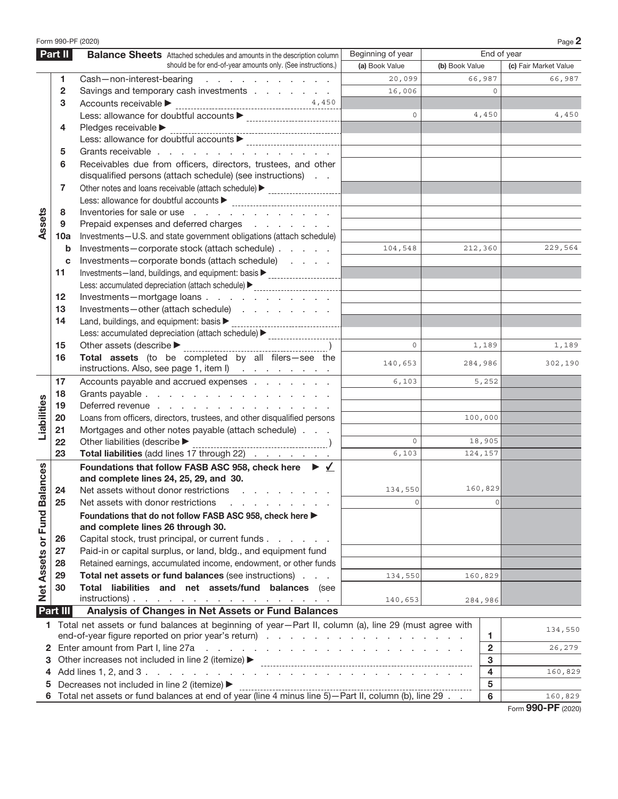|                             |                 | Form 990-PF (2020)                                                                                                          |                   |                |                            | Page 2                |
|-----------------------------|-----------------|-----------------------------------------------------------------------------------------------------------------------------|-------------------|----------------|----------------------------|-----------------------|
|                             | Part II         | <b>Balance Sheets</b> Attached schedules and amounts in the description column                                              | Beginning of year |                | End of year                |                       |
|                             |                 | should be for end-of-year amounts only. (See instructions.)                                                                 | (a) Book Value    | (b) Book Value |                            | (c) Fair Market Value |
|                             | 1               | Cash-non-interest-bearing<br>and a series of the contract of                                                                | 20,099            |                | 66,987                     | 66,987                |
|                             | $\overline{2}$  | Savings and temporary cash investments                                                                                      | 16,006            |                |                            |                       |
|                             | 3               | 4,450<br>Accounts receivable >                                                                                              |                   |                |                            |                       |
|                             |                 |                                                                                                                             | $\Omega$          |                | 4,450                      | 4,450                 |
|                             | 4               | Pledges receivable ▶                                                                                                        |                   |                |                            |                       |
|                             |                 |                                                                                                                             |                   |                |                            |                       |
|                             | 5               | Grants receivable                                                                                                           |                   |                |                            |                       |
|                             | 6               | Receivables due from officers, directors, trustees, and other<br>disqualified persons (attach schedule) (see instructions)  |                   |                |                            |                       |
|                             | 7               | Other notes and loans receivable (attach schedule) > ___________________________                                            |                   |                |                            |                       |
|                             |                 |                                                                                                                             |                   |                |                            |                       |
|                             | 8               | Inventories for sale or use                                                                                                 |                   |                |                            |                       |
| Assets                      | 9               | Prepaid expenses and deferred charges                                                                                       |                   |                |                            |                       |
|                             | 10a             | Investments-U.S. and state government obligations (attach schedule)                                                         |                   |                |                            |                       |
|                             | b               | Investments-corporate stock (attach schedule)                                                                               | 104,548           |                | 212,360                    | 229,564               |
|                             | c               | Investments-corporate bonds (attach schedule)                                                                               |                   |                |                            |                       |
|                             | 11              | Investments-land, buildings, and equipment: basis > _______________________                                                 |                   |                |                            |                       |
|                             |                 |                                                                                                                             |                   |                |                            |                       |
|                             | $12 \,$         | Investments-mortgage loans                                                                                                  |                   |                |                            |                       |
|                             | 13              | Investments-other (attach schedule)                                                                                         |                   |                |                            |                       |
|                             | 14              | Land, buildings, and equipment: basis $\blacktriangleright$<br>--------------------------                                   |                   |                |                            |                       |
|                             |                 | Less: accumulated depreciation (attach schedule) > _____________________________                                            |                   |                |                            |                       |
|                             | 15              | Other assets (describe $\blacktriangleright$                                                                                | $\Omega$          |                | 1,189                      | 1,189                 |
|                             | 16              | Total assets (to be completed by all filers-see the<br>instructions. Also, see page $1$ , item $I$ )                        | 140,653           |                | 284,986                    | 302,190               |
|                             | 17              | Accounts payable and accrued expenses<br>6,103                                                                              |                   |                | 5,252                      |                       |
|                             | 18              | Grants payable                                                                                                              |                   |                |                            |                       |
|                             | 19              | Deferred revenue                                                                                                            |                   |                |                            |                       |
|                             | 20              | Loans from officers, directors, trustees, and other disqualified persons                                                    |                   | 100,000        |                            |                       |
| Liabilities                 | 21              | Mortgages and other notes payable (attach schedule)                                                                         |                   |                |                            |                       |
|                             | 22              | Other liabilities (describe >                                                                                               | $\Omega$          |                | 18,905                     |                       |
|                             | 23              | Total liabilities (add lines 17 through 22)                                                                                 | 6,103             |                | 124,157                    |                       |
|                             |                 | Foundations that follow FASB ASC 958, check here ▶ √<br>and complete lines 24, 25, 29, and 30.                              |                   |                |                            |                       |
|                             |                 | 24 Net assets without donor restrictions                                                                                    | 134,550           |                | 160,829                    |                       |
|                             | 25              | Net assets with donor restrictions                                                                                          |                   |                | $\Omega$                   |                       |
| Net Assets or Fund Balances |                 | Foundations that do not follow FASB ASC 958, check here ▶<br>and complete lines 26 through 30.                              |                   |                |                            |                       |
|                             | 26              | Capital stock, trust principal, or current funds.<br>the company of the company                                             |                   |                |                            |                       |
|                             | 27              | Paid-in or capital surplus, or land, bldg., and equipment fund                                                              |                   |                |                            |                       |
|                             | 28              | Retained earnings, accumulated income, endowment, or other funds                                                            |                   |                |                            |                       |
|                             | 29              | Total net assets or fund balances (see instructions)                                                                        | 134,550           |                | 160,829                    |                       |
|                             | 30              | Total liabilities and net assets/fund balances (see                                                                         |                   |                |                            |                       |
|                             |                 | $instructions)$ .                                                                                                           | 140,653           |                | 284,986                    |                       |
|                             | <b>Part III</b> | Analysis of Changes in Net Assets or Fund Balances                                                                          |                   |                |                            |                       |
|                             |                 | 1 Total net assets or fund balances at beginning of year-Part II, column (a), line 29 (must agree with                      |                   |                |                            | 134,550               |
|                             |                 |                                                                                                                             |                   |                | 1.                         |                       |
|                             |                 | 2 Enter amount from Part I, line 27a<br>and the contract of the contract of the contract of the contract of the contract of |                   |                | $\overline{\mathbf{c}}$    | 26,279                |
| 3.                          |                 | Other increases not included in line 2 (itemize) ▶                                                                          |                   |                | 3                          |                       |
| 4                           |                 |                                                                                                                             |                   |                | $\overline{\mathbf{4}}$    | 160,829               |
| 5                           |                 | Decreases not included in line 2 (itemize) ▶                                                                                |                   |                | $5\phantom{.0}$<br>$\bf 6$ | 160,829               |
|                             |                 |                                                                                                                             |                   |                |                            |                       |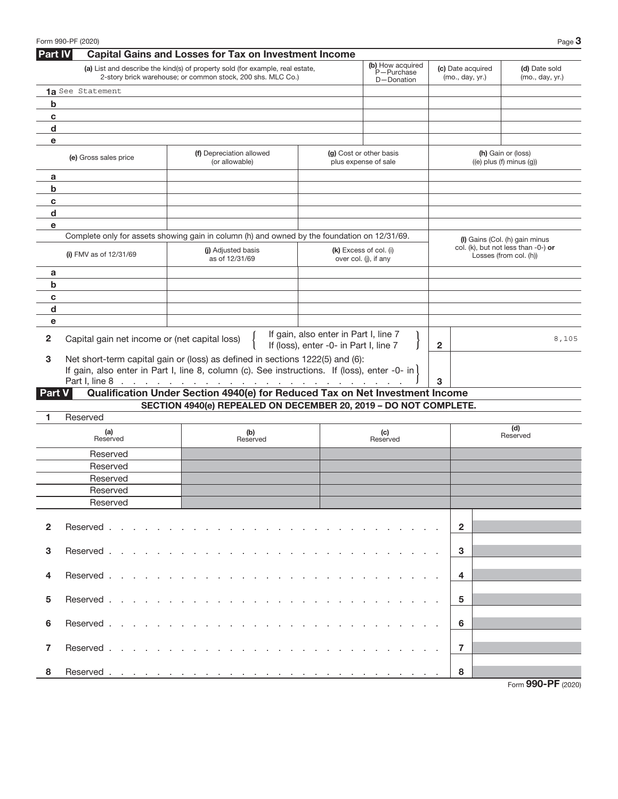|               | Form 990-PF (2020)                                    |                                                                                                                                                                                                                                |                                                                                 |                                                 |                                      | Page 3                                                        |
|---------------|-------------------------------------------------------|--------------------------------------------------------------------------------------------------------------------------------------------------------------------------------------------------------------------------------|---------------------------------------------------------------------------------|-------------------------------------------------|--------------------------------------|---------------------------------------------------------------|
| Part IV       |                                                       | <b>Capital Gains and Losses for Tax on Investment Income</b>                                                                                                                                                                   |                                                                                 |                                                 |                                      |                                                               |
|               |                                                       | (a) List and describe the kind(s) of property sold (for example, real estate,<br>2-story brick warehouse; or common stock, 200 shs. MLC Co.)                                                                                   |                                                                                 | (b) How acquired<br>P-Purchase<br>D-Donation    | (c) Date acquired<br>(mo., day, yr.) | (d) Date sold<br>(mo., day, yr.)                              |
|               | 1a See Statement                                      |                                                                                                                                                                                                                                |                                                                                 |                                                 |                                      |                                                               |
| b             |                                                       |                                                                                                                                                                                                                                |                                                                                 |                                                 |                                      |                                                               |
| c             |                                                       |                                                                                                                                                                                                                                |                                                                                 |                                                 |                                      |                                                               |
| d             |                                                       |                                                                                                                                                                                                                                |                                                                                 |                                                 |                                      |                                                               |
| е             |                                                       |                                                                                                                                                                                                                                |                                                                                 |                                                 |                                      |                                                               |
|               | (e) Gross sales price                                 | (f) Depreciation allowed<br>(or allowable)                                                                                                                                                                                     |                                                                                 | (g) Cost or other basis<br>plus expense of sale |                                      | (h) Gain or (loss)<br>$((e)$ plus $(f)$ minus $(g)$ )         |
| a             |                                                       |                                                                                                                                                                                                                                |                                                                                 |                                                 |                                      |                                                               |
| b             |                                                       |                                                                                                                                                                                                                                |                                                                                 |                                                 |                                      |                                                               |
| c             |                                                       |                                                                                                                                                                                                                                |                                                                                 |                                                 |                                      |                                                               |
| d             |                                                       |                                                                                                                                                                                                                                |                                                                                 |                                                 |                                      |                                                               |
| e             |                                                       |                                                                                                                                                                                                                                |                                                                                 |                                                 |                                      |                                                               |
|               |                                                       | Complete only for assets showing gain in column (h) and owned by the foundation on 12/31/69.                                                                                                                                   |                                                                                 |                                                 |                                      | (I) Gains (Col. (h) gain minus                                |
|               | (i) FMV as of $12/31/69$                              | (i) Adjusted basis<br>as of 12/31/69                                                                                                                                                                                           |                                                                                 | (k) Excess of col. (i)<br>over col. (j), if any |                                      | col. (k), but not less than -0-) or<br>Losses (from col. (h)) |
| a             |                                                       |                                                                                                                                                                                                                                |                                                                                 |                                                 |                                      |                                                               |
| b             |                                                       |                                                                                                                                                                                                                                |                                                                                 |                                                 |                                      |                                                               |
| C             |                                                       |                                                                                                                                                                                                                                |                                                                                 |                                                 |                                      |                                                               |
| $\mathbf d$   |                                                       |                                                                                                                                                                                                                                |                                                                                 |                                                 |                                      |                                                               |
| e             |                                                       |                                                                                                                                                                                                                                |                                                                                 |                                                 |                                      |                                                               |
| 2             | Capital gain net income or (net capital loss)         |                                                                                                                                                                                                                                | If gain, also enter in Part I, line 7<br>If (loss), enter -0- in Part I, line 7 |                                                 | $\mathbf{2}$                         | 8,105                                                         |
| 3             |                                                       | Net short-term capital gain or (loss) as defined in sections 1222(5) and (6):                                                                                                                                                  |                                                                                 |                                                 |                                      |                                                               |
|               |                                                       | If gain, also enter in Part I, line 8, column (c). See instructions. If (loss), enter -0- in)                                                                                                                                  |                                                                                 |                                                 |                                      |                                                               |
|               |                                                       |                                                                                                                                                                                                                                |                                                                                 |                                                 | 3                                    |                                                               |
| <b>Part V</b> |                                                       | Qualification Under Section 4940(e) for Reduced Tax on Net Investment Income                                                                                                                                                   |                                                                                 |                                                 |                                      |                                                               |
|               |                                                       | SECTION 4940(e) REPEALED ON DECEMBER 20, 2019 - DO NOT COMPLETE.                                                                                                                                                               |                                                                                 |                                                 |                                      |                                                               |
| 1             | Reserved                                              |                                                                                                                                                                                                                                |                                                                                 |                                                 |                                      |                                                               |
|               | (a)<br>Reserved                                       | (b)<br>Reserved                                                                                                                                                                                                                |                                                                                 | (c)<br>Reserved                                 |                                      | (d)<br>Reserved                                               |
|               | Reserved                                              |                                                                                                                                                                                                                                |                                                                                 |                                                 |                                      |                                                               |
|               | Reserved                                              |                                                                                                                                                                                                                                |                                                                                 |                                                 |                                      |                                                               |
|               | Reserved                                              |                                                                                                                                                                                                                                |                                                                                 |                                                 |                                      |                                                               |
|               | Reserved                                              |                                                                                                                                                                                                                                |                                                                                 |                                                 |                                      |                                                               |
|               | Reserved                                              |                                                                                                                                                                                                                                |                                                                                 |                                                 |                                      |                                                               |
| $\mathbf{2}$  | Reserved                                              | designed to the control of the control of the control of the control of the control of the control of the control of the control of the control of the control of the control of the control of the control of the control of  |                                                                                 |                                                 | $\overline{2}$                       |                                                               |
|               |                                                       |                                                                                                                                                                                                                                |                                                                                 |                                                 |                                      |                                                               |
| 3             | Reserved                                              |                                                                                                                                                                                                                                |                                                                                 |                                                 | 3                                    |                                                               |
| 4             | Reserved.<br>and a state of the state of the state of | <b>Service</b> State<br>and a state                                                                                                                                                                                            |                                                                                 |                                                 | 4                                    |                                                               |
| 5             | Reserved.                                             |                                                                                                                                                                                                                                |                                                                                 |                                                 | 5                                    |                                                               |
| 6             | Reserved.                                             |                                                                                                                                                                                                                                |                                                                                 |                                                 | 6                                    |                                                               |
|               |                                                       |                                                                                                                                                                                                                                |                                                                                 |                                                 |                                      |                                                               |
| 7             | Reserved                                              | the second contract of the second contract of the second contract of the second contract of the second contract of the second contract of the second contract of the second contract of the second contract of the second cont |                                                                                 |                                                 | $\overline{7}$                       |                                                               |
| 8             |                                                       |                                                                                                                                                                                                                                |                                                                                 |                                                 | 8                                    |                                                               |
|               |                                                       |                                                                                                                                                                                                                                |                                                                                 |                                                 |                                      | Form 990-PF (2020)                                            |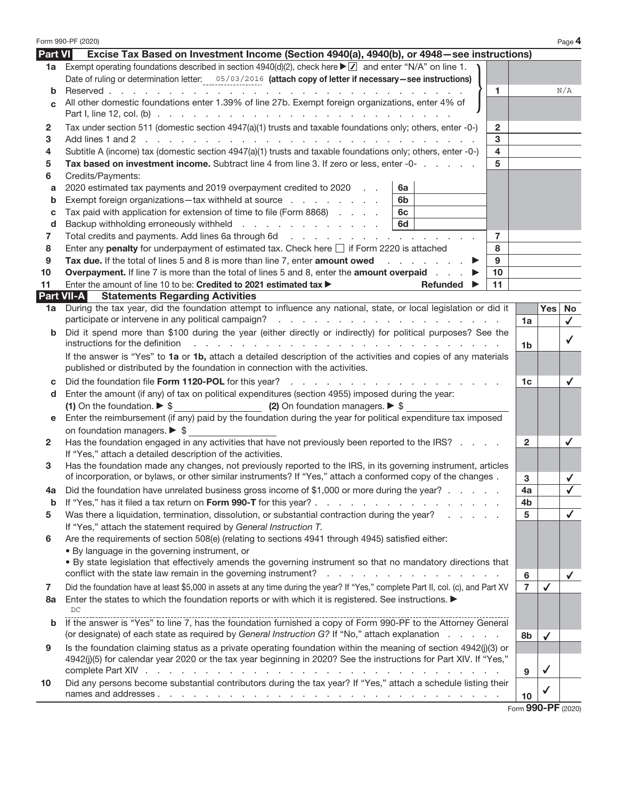|                    | Form 990-PF (2020)                                                                                                                                                                               |                    |              | Page 4       |
|--------------------|--------------------------------------------------------------------------------------------------------------------------------------------------------------------------------------------------|--------------------|--------------|--------------|
| <b>Part VI</b>     | Excise Tax Based on Investment Income (Section 4940(a), 4940(b), or 4948–see instructions)                                                                                                       |                    |              |              |
| 1a                 | Exempt operating foundations described in section 4940(d)(2), check here $\blacktriangleright \square$ and enter "N/A" on line 1.                                                                |                    |              |              |
|                    | Date of ruling or determination letter: 05/03/2016 (attach copy of letter if necessary-see instructions)                                                                                         |                    |              |              |
| b                  | $\mathbf{1}$                                                                                                                                                                                     |                    |              | N/A          |
| <sub>C</sub>       | All other domestic foundations enter 1.39% of line 27b. Exempt foreign organizations, enter 4% of                                                                                                |                    |              |              |
|                    |                                                                                                                                                                                                  |                    |              |              |
| $\mathbf{2}$       | Tax under section 511 (domestic section 4947(a)(1) trusts and taxable foundations only; others, enter -0-)<br>$\overline{2}$                                                                     |                    |              |              |
| 3                  | 3                                                                                                                                                                                                |                    |              |              |
| 4                  | $\overline{\mathbf{4}}$<br>Subtitle A (income) tax (domestic section 4947(a)(1) trusts and taxable foundations only; others, enter -0-)                                                          |                    |              |              |
| 5                  | Tax based on investment income. Subtract line 4 from line 3. If zero or less, enter -0-<br>5                                                                                                     |                    |              |              |
| 6                  | Credits/Payments:                                                                                                                                                                                |                    |              |              |
| a                  | 2020 estimated tax payments and 2019 overpayment credited to 2020<br>6a                                                                                                                          |                    |              |              |
| b                  | Exempt foreign organizations-tax withheld at source<br>6b                                                                                                                                        |                    |              |              |
| С                  | Tax paid with application for extension of time to file (Form 8868)<br>6с                                                                                                                        |                    |              |              |
| d                  | Backup withholding erroneously withheld<br>6d                                                                                                                                                    |                    |              |              |
| 7                  | $\overline{7}$                                                                                                                                                                                   |                    |              |              |
| 8                  | Enter any penalty for underpayment of estimated tax. Check here $\Box$ if Form 2220 is attached<br>8                                                                                             |                    |              |              |
| 9                  | Tax due. If the total of lines 5 and 8 is more than line 7, enter amount owed<br>9                                                                                                               |                    |              |              |
| 10                 | <b>Overpayment.</b> If line 7 is more than the total of lines 5 and 8, enter the <b>amount overpaid</b><br>10                                                                                    |                    |              |              |
| 11                 | Enter the amount of line 10 to be: Credited to 2021 estimated tax ><br>11<br>Refunded $\blacktriangleright$                                                                                      |                    |              |              |
|                    | <b>Part VII-A</b><br><b>Statements Regarding Activities</b>                                                                                                                                      |                    |              |              |
| 1a                 | During the tax year, did the foundation attempt to influence any national, state, or local legislation or did it                                                                                 | 1a                 | <b>Yes</b>   | No<br>✓      |
| b                  | Did it spend more than \$100 during the year (either directly or indirectly) for political purposes? See the                                                                                     |                    |              |              |
|                    | instructions for the definition<br>and a construction of the construction of the construction of the construction of                                                                             | 1 <sub>b</sub>     |              | $\checkmark$ |
|                    | If the answer is "Yes" to 1a or 1b, attach a detailed description of the activities and copies of any materials<br>published or distributed by the foundation in connection with the activities. |                    |              |              |
| C                  | Did the foundation file Form 1120-POL for this year?                                                                                                                                             | 1c                 |              | $\checkmark$ |
| d                  | Enter the amount (if any) of tax on political expenditures (section 4955) imposed during the year:                                                                                               |                    |              |              |
|                    | (2) On foundation managers. $\triangleright$ \$<br>(1) On the foundation. $\triangleright$ \$                                                                                                    |                    |              |              |
| е                  | Enter the reimbursement (if any) paid by the foundation during the year for political expenditure tax imposed                                                                                    |                    |              |              |
|                    | on foundation managers. $\triangleright$ \$                                                                                                                                                      |                    |              |              |
| $\mathbf{2} \cdot$ | Has the foundation engaged in any activities that have not previously been reported to the IRS?                                                                                                  | $\mathbf{2}$       |              | ✓            |
|                    | If "Yes," attach a detailed description of the activities.                                                                                                                                       |                    |              |              |
| 3                  | Has the foundation made any changes, not previously reported to the IRS, in its governing instrument, articles                                                                                   |                    |              |              |
|                    | of incorporation, or bylaws, or other similar instruments? If "Yes," attach a conformed copy of the changes.                                                                                     | 3                  |              | $\checkmark$ |
|                    | Did the foundation have unrelated business gross income of \$1,000 or more during the year?                                                                                                      | 4a                 |              |              |
| b                  | If "Yes," has it filed a tax return on Form 990-T for this year?.<br>and a straightful contract and a                                                                                            | 4b                 |              |              |
| 5                  | Was there a liquidation, termination, dissolution, or substantial contraction during the year?                                                                                                   | 5                  |              | $\checkmark$ |
|                    | If "Yes," attach the statement required by General Instruction T.                                                                                                                                |                    |              |              |
| 6                  | Are the requirements of section 508(e) (relating to sections 4941 through 4945) satisfied either:                                                                                                |                    |              |              |
|                    | • By language in the governing instrument, or                                                                                                                                                    |                    |              |              |
|                    | . By state legislation that effectively amends the governing instrument so that no mandatory directions that                                                                                     |                    |              |              |
|                    | conflict with the state law remain in the governing instrument?<br>the contract of the contract of the contract of                                                                               | 6                  |              | $\checkmark$ |
| 7                  | Did the foundation have at least \$5,000 in assets at any time during the year? If "Yes," complete Part II, col. (c), and Part XV                                                                | 7                  | $\checkmark$ |              |
| 8а                 | Enter the states to which the foundation reports or with which it is registered. See instructions.<br>DC.                                                                                        |                    |              |              |
| b                  | If the answer is "Yes" to line 7, has the foundation furnished a copy of Form 990-PF to the Attorney General                                                                                     |                    |              |              |
|                    | (or designate) of each state as required by General Instruction G? If "No," attach explanation                                                                                                   | 8b                 |              |              |
| 9                  | Is the foundation claiming status as a private operating foundation within the meaning of section 4942(j)(3) or                                                                                  |                    | $\checkmark$ |              |
|                    | 4942(j)(5) for calendar year 2020 or the tax year beginning in 2020? See the instructions for Part XIV. If "Yes,"                                                                                |                    |              |              |
|                    | complete Part XIV .<br>design and contract and contract and contract and                                                                                                                         | 9                  | $\checkmark$ |              |
| 10                 | Did any persons become substantial contributors during the tax year? If "Yes," attach a schedule listing their                                                                                   |                    |              |              |
|                    |                                                                                                                                                                                                  | 10                 | √            |              |
|                    |                                                                                                                                                                                                  | Form 990-PF (2020) |              |              |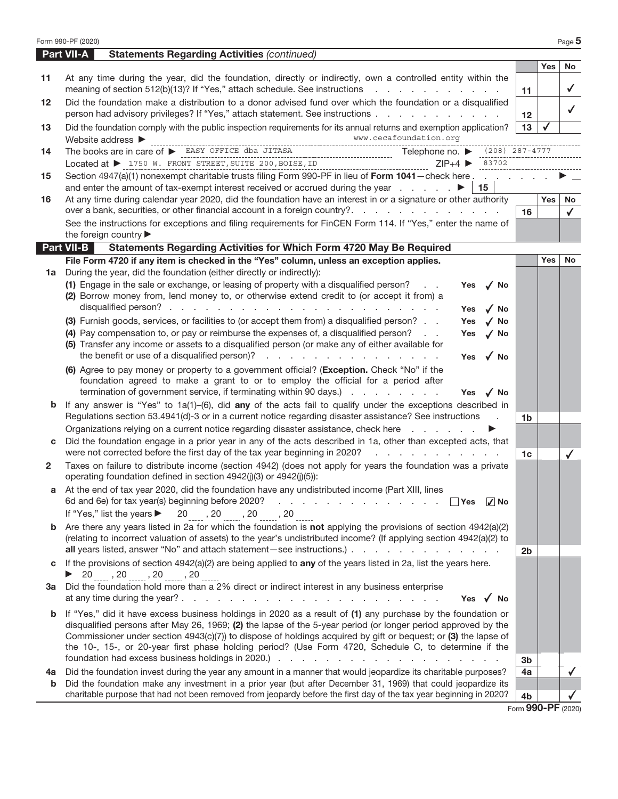|              | Form 990-PF (2020)                                                                                                                                                                                                                                                                                                                                                                                                                                          |                    |            | Page 5       |
|--------------|-------------------------------------------------------------------------------------------------------------------------------------------------------------------------------------------------------------------------------------------------------------------------------------------------------------------------------------------------------------------------------------------------------------------------------------------------------------|--------------------|------------|--------------|
|              | <b>Part VII-A</b><br><b>Statements Regarding Activities (continued)</b>                                                                                                                                                                                                                                                                                                                                                                                     |                    |            |              |
|              |                                                                                                                                                                                                                                                                                                                                                                                                                                                             |                    | <b>Yes</b> | <b>No</b>    |
| 11           | At any time during the year, did the foundation, directly or indirectly, own a controlled entity within the<br>meaning of section 512(b)(13)? If "Yes," attach schedule. See instructions                                                                                                                                                                                                                                                                   | 11                 |            | $\checkmark$ |
| 12           | Did the foundation make a distribution to a donor advised fund over which the foundation or a disqualified<br>person had advisory privileges? If "Yes," attach statement. See instructions                                                                                                                                                                                                                                                                  | 12 <sup>12</sup>   |            | $\checkmark$ |
| 13           | Did the foundation comply with the public inspection requirements for its annual returns and exemption application?<br>www.cecafoundation.org                                                                                                                                                                                                                                                                                                               | 13                 |            |              |
|              | $\begin{minipage}{0.9\linewidth} \textbf{Website address} & \textbf{new. cecafoundation.org}\\ \textbf{The books are in care of} & \textbf{ESST OFFICE} & \textbf{SASY OFFICE} & \textbf{SAS JITASA} & \textbf{SITASA} & \textbf{Telephone no.} & \textbf{208} & 287-4777\\ \textbf{100} & \textbf{111} & \textbf{121} & \textbf{131} & \textbf{131} & \textbf{141} & \textbf{151} & \textbf{151} & \textbf{161} \\ \textbf{111} & \textbf{121} & \textbf{$ |                    |            |              |
| 14           | $ZIP+4$ $\triangleright$ 83702                                                                                                                                                                                                                                                                                                                                                                                                                              |                    |            |              |
| 15           | Section 4947(a)(1) nonexempt charitable trusts filing Form 990-PF in lieu of Form 1041 - check here                                                                                                                                                                                                                                                                                                                                                         |                    |            |              |
| 16           | and enter the amount of tax-exempt interest received or accrued during the year entertainment of tax-exempt interest received or accrued during the year<br>15<br>At any time during calendar year 2020, did the foundation have an interest in or a signature or other authority                                                                                                                                                                           |                    | Yes        | No           |
|              | over a bank, securities, or other financial account in a foreign country?.                                                                                                                                                                                                                                                                                                                                                                                  | 16                 |            | $\checkmark$ |
|              | See the instructions for exceptions and filing requirements for FinCEN Form 114. If "Yes," enter the name of                                                                                                                                                                                                                                                                                                                                                |                    |            |              |
|              | the foreign country                                                                                                                                                                                                                                                                                                                                                                                                                                         |                    |            |              |
|              | <b>Part VII-B</b><br>Statements Regarding Activities for Which Form 4720 May Be Required                                                                                                                                                                                                                                                                                                                                                                    |                    |            |              |
|              | File Form 4720 if any item is checked in the "Yes" column, unless an exception applies.                                                                                                                                                                                                                                                                                                                                                                     |                    | <b>Yes</b> | <b>No</b>    |
| 1a           | During the year, did the foundation (either directly or indirectly):                                                                                                                                                                                                                                                                                                                                                                                        |                    |            |              |
|              | (1) Engage in the sale or exchange, or leasing of property with a disqualified person?<br>$\sqrt{NQ}$<br><b>Contract</b><br>Yes                                                                                                                                                                                                                                                                                                                             |                    |            |              |
|              | (2) Borrow money from, lend money to, or otherwise extend credit to (or accept it from) a                                                                                                                                                                                                                                                                                                                                                                   |                    |            |              |
|              | $\sqrt{N}$<br>Yes                                                                                                                                                                                                                                                                                                                                                                                                                                           |                    |            |              |
|              | (3) Furnish goods, services, or facilities to (or accept them from) a disqualified person?<br>Yes<br>$\sqrt{NQ}$                                                                                                                                                                                                                                                                                                                                            |                    |            |              |
|              | (4) Pay compensation to, or pay or reimburse the expenses of, a disqualified person?<br>Yes<br>$\sqrt{NQ}$<br>(5) Transfer any income or assets to a disqualified person (or make any of either available for                                                                                                                                                                                                                                               |                    |            |              |
|              | the benefit or use of a disqualified person)?<br>√ No<br><b>Yes</b>                                                                                                                                                                                                                                                                                                                                                                                         |                    |            |              |
|              | (6) Agree to pay money or property to a government official? (Exception. Check "No" if the                                                                                                                                                                                                                                                                                                                                                                  |                    |            |              |
|              | foundation agreed to make a grant to or to employ the official for a period after                                                                                                                                                                                                                                                                                                                                                                           |                    |            |              |
|              | termination of government service, if terminating within 90 days.)<br>Yes $\sqrt{N}$                                                                                                                                                                                                                                                                                                                                                                        |                    |            |              |
| b            | If any answer is "Yes" to $1a(1)$ –(6), did any of the acts fail to qualify under the exceptions described in                                                                                                                                                                                                                                                                                                                                               |                    |            |              |
|              | Regulations section 53.4941(d)-3 or in a current notice regarding disaster assistance? See instructions<br>$\sim$                                                                                                                                                                                                                                                                                                                                           | 1 <sub>b</sub>     |            |              |
|              | Organizations relying on a current notice regarding disaster assistance, check here                                                                                                                                                                                                                                                                                                                                                                         |                    |            |              |
|              | Did the foundation engage in a prior year in any of the acts described in 1a, other than excepted acts, that<br>were not corrected before the first day of the tax year beginning in 2020?<br>and a straightful and a straight and                                                                                                                                                                                                                          |                    |            |              |
| $\mathbf{2}$ | Taxes on failure to distribute income (section 4942) (does not apply for years the foundation was a private                                                                                                                                                                                                                                                                                                                                                 | 1 <sub>c</sub>     |            |              |
|              | operating foundation defined in section 4942(j)(3) or 4942(j)(5)):                                                                                                                                                                                                                                                                                                                                                                                          |                    |            |              |
|              | At the end of tax year 2020, did the foundation have any undistributed income (Part XIII, lines<br>6d and 6e) for tax year(s) beginning before 2020?<br>and the contract of the contract of the con-<br>∣ ∣Yes<br>$ V $ No                                                                                                                                                                                                                                  |                    |            |              |
|              | If "Yes," list the years ▶<br>$20$ , $20$ , $20$ , $20$                                                                                                                                                                                                                                                                                                                                                                                                     |                    |            |              |
|              | <b>b</b> Are there any years listed in 2a for which the foundation is <b>not</b> applying the provisions of section $4942(a)(2)$                                                                                                                                                                                                                                                                                                                            |                    |            |              |
|              | (relating to incorrect valuation of assets) to the year's undistributed income? (If applying section 4942(a)(2) to                                                                                                                                                                                                                                                                                                                                          |                    |            |              |
|              | all years listed, answer "No" and attach statement-see instructions.)                                                                                                                                                                                                                                                                                                                                                                                       | 2 <sub>b</sub>     |            |              |
| c            | If the provisions of section $4942(a)(2)$ are being applied to any of the years listed in 2a, list the years here.                                                                                                                                                                                                                                                                                                                                          |                    |            |              |
| За           | $\triangleright$ 20 , 20 , 20 , 20<br>Did the foundation hold more than a 2% direct or indirect interest in any business enterprise                                                                                                                                                                                                                                                                                                                         |                    |            |              |
|              | Yes $\sqrt{ }$ No                                                                                                                                                                                                                                                                                                                                                                                                                                           |                    |            |              |
|              | <b>b</b> If "Yes," did it have excess business holdings in 2020 as a result of (1) any purchase by the foundation or                                                                                                                                                                                                                                                                                                                                        |                    |            |              |
|              | disqualified persons after May 26, 1969; (2) the lapse of the 5-year period (or longer period approved by the                                                                                                                                                                                                                                                                                                                                               |                    |            |              |
|              | Commissioner under section 4943(c)(7)) to dispose of holdings acquired by gift or bequest; or (3) the lapse of                                                                                                                                                                                                                                                                                                                                              |                    |            |              |
|              | the 10-, 15-, or 20-year first phase holding period? (Use Form 4720, Schedule C, to determine if the                                                                                                                                                                                                                                                                                                                                                        | 3b                 |            |              |
| 4a           | Did the foundation invest during the year any amount in a manner that would jeopardize its charitable purposes?                                                                                                                                                                                                                                                                                                                                             | 4a                 |            |              |
| b            | Did the foundation make any investment in a prior year (but after December 31, 1969) that could jeopardize its                                                                                                                                                                                                                                                                                                                                              |                    |            |              |
|              | charitable purpose that had not been removed from jeopardy before the first day of the tax year beginning in 2020?                                                                                                                                                                                                                                                                                                                                          | 4 <sub>b</sub>     |            |              |
|              |                                                                                                                                                                                                                                                                                                                                                                                                                                                             | Form 990-PF (2020) |            |              |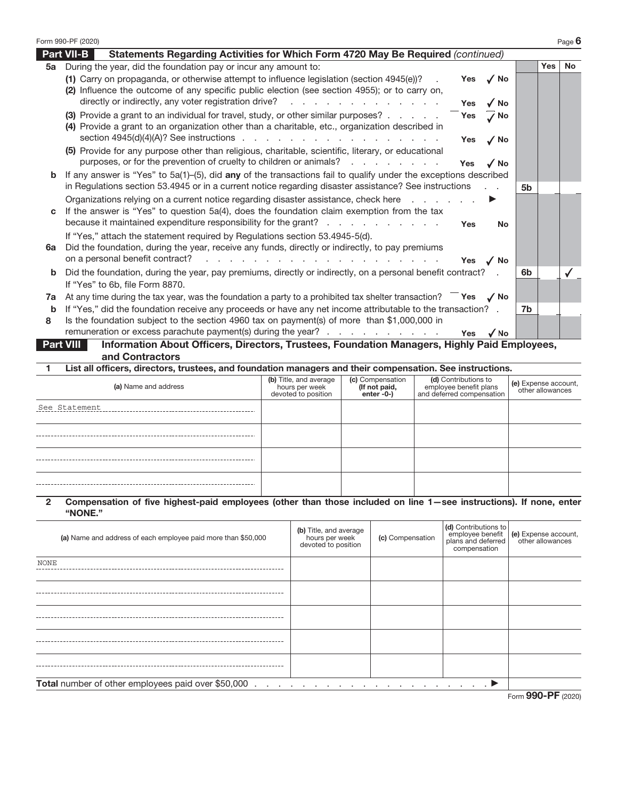|    | Form 990-PF (2020)                                                                                                                                                                                                                                                                            |                   |                            |    |            | Page 6    |
|----|-----------------------------------------------------------------------------------------------------------------------------------------------------------------------------------------------------------------------------------------------------------------------------------------------|-------------------|----------------------------|----|------------|-----------|
|    | <b>Part VII-B</b><br>Statements Regarding Activities for Which Form 4720 May Be Required (continued)                                                                                                                                                                                          |                   |                            |    |            |           |
| 5a | During the year, did the foundation pay or incur any amount to:                                                                                                                                                                                                                               |                   |                            |    | <b>Yes</b> | <b>No</b> |
|    | (1) Carry on propaganda, or otherwise attempt to influence legislation (section 4945(e))?<br>(2) Influence the outcome of any specific public election (see section 4955); or to carry on,<br>directly or indirectly, any voter registration drive?<br>and a straightful and a straight and a | Yes<br><b>Yes</b> | $\sqrt{NQ}$<br>$\sqrt{NQ}$ |    |            |           |
|    |                                                                                                                                                                                                                                                                                               |                   |                            |    |            |           |
|    | (3) Provide a grant to an individual for travel, study, or other similar purposes?<br>Yes<br>(4) Provide a grant to an organization other than a charitable, etc., organization described in                                                                                                  |                   | $\Lambda$ No               |    |            |           |
|    | (5) Provide for any purpose other than religious, charitable, scientific, literary, or educational                                                                                                                                                                                            | Yes               | $\sqrt{NQ}$                |    |            |           |
|    | purposes, or for the prevention of cruelty to children or animals?                                                                                                                                                                                                                            | <b>Yes</b>        | $\sqrt{NQ}$                |    |            |           |
| b  | If any answer is "Yes" to $5a(1)$ –(5), did any of the transactions fail to qualify under the exceptions described                                                                                                                                                                            |                   |                            |    |            |           |
|    | in Regulations section 53.4945 or in a current notice regarding disaster assistance? See instructions                                                                                                                                                                                         |                   |                            | 5b |            |           |
|    | Organizations relying on a current notice regarding disaster assistance, check here                                                                                                                                                                                                           | ▶                 |                            |    |            |           |
| C  | If the answer is "Yes" to question 5a(4), does the foundation claim exemption from the tax<br>because it maintained expenditure responsibility for the grant?                                                                                                                                 | <b>Yes</b>        | No                         |    |            |           |
|    | If "Yes," attach the statement required by Regulations section 53.4945-5(d).                                                                                                                                                                                                                  |                   |                            |    |            |           |
| 6a | Did the foundation, during the year, receive any funds, directly or indirectly, to pay premiums                                                                                                                                                                                               |                   |                            |    |            |           |
|    | on a personal benefit contract?<br>the contract of the contract of the contract of the contract of the contract of                                                                                                                                                                            | Yes $\sqrt{N}$    |                            |    |            |           |
| b  | Did the foundation, during the year, pay premiums, directly or indirectly, on a personal benefit contract? .                                                                                                                                                                                  |                   |                            | 6b |            |           |
|    | If "Yes" to 6b, file Form 8870.                                                                                                                                                                                                                                                               |                   |                            |    |            |           |
| 7a | At any time during the tax year, was the foundation a party to a prohibited tax shelter transaction? $\overline{\phantom{a}}$ Yes $\overline{\phantom{a}}$ No                                                                                                                                 |                   |                            |    |            |           |
| b  | If "Yes," did the foundation receive any proceeds or have any net income attributable to the transaction? .                                                                                                                                                                                   |                   |                            | 7b |            |           |
| 8  | Is the foundation subject to the section 4960 tax on payment(s) of more than \$1,000,000 in                                                                                                                                                                                                   |                   |                            |    |            |           |
|    | remuneration or excess parachute payment(s) during the year?                                                                                                                                                                                                                                  | Yes               | $\sqrt{NQ}$                |    |            |           |
|    | Information About Officers, Directors, Trustees, Foundation Managers, Highly Paid Employees,<br>Part VIII                                                                                                                                                                                     |                   |                            |    |            |           |

icers, Directors, Trustees, Foundation Managers, Highly Paid Employees, and Contractors

1 List all officers, directors, trustees, and foundation managers and their compensation. See instructions.

| (a) Name and address | (b) Title, and average<br>hours per week<br>devoted to position | (c) Compensation<br>(If not paid,<br>enter -0-) | (d) Contributions to<br>employee benefit plans<br>and deferred compensation | (e) Expense account,<br>other allowances |
|----------------------|-----------------------------------------------------------------|-------------------------------------------------|-----------------------------------------------------------------------------|------------------------------------------|
| See Statement        |                                                                 |                                                 |                                                                             |                                          |
|                      |                                                                 |                                                 |                                                                             |                                          |
|                      |                                                                 |                                                 |                                                                             |                                          |
|                      |                                                                 |                                                 |                                                                             |                                          |

### 2 Compensation of five highest-paid employees (other than those included on line 1—see instructions). If none, enter "NONE."

| (a) Name and address of each employee paid more than \$50,000 | (b) Title, and average<br>hours per week<br>devoted to position | (c) Compensation                   | (d) Contributions to<br>compensation | employee benefit (e) Expense account,<br>plans and deferred other allowances |
|---------------------------------------------------------------|-----------------------------------------------------------------|------------------------------------|--------------------------------------|------------------------------------------------------------------------------|
| <b>NONE</b>                                                   |                                                                 |                                    |                                      |                                                                              |
|                                                               |                                                                 |                                    |                                      |                                                                              |
|                                                               |                                                                 |                                    |                                      |                                                                              |
|                                                               |                                                                 |                                    |                                      |                                                                              |
|                                                               |                                                                 |                                    |                                      |                                                                              |
| <b>Total</b> number of other employees paid over \$50,000     |                                                                 | a se a se a se a se a se a se a se |                                      |                                                                              |
|                                                               |                                                                 |                                    |                                      | Eorm $990-PF$ (2020)                                                         |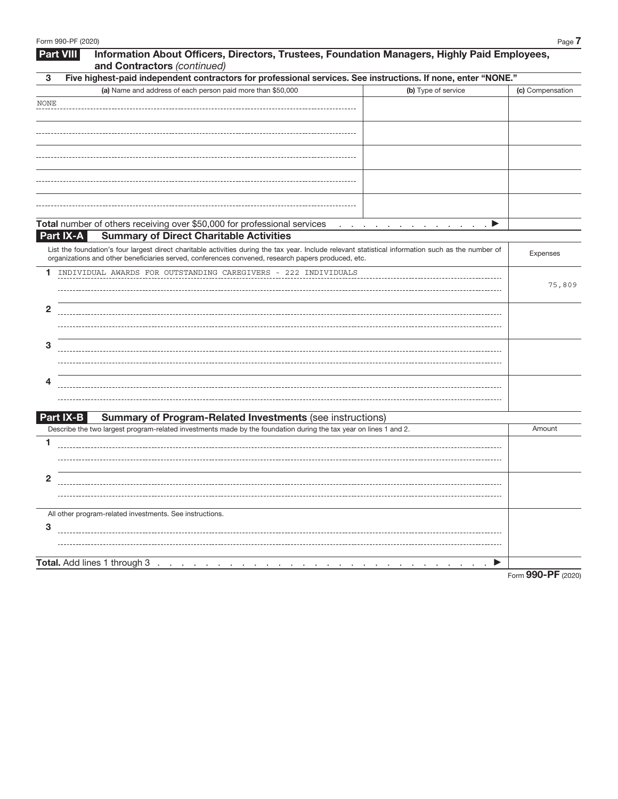| Information About Officers, Directors, Trustees, Foundation Managers, Highly Paid Employees,<br><b>Part VIII</b><br>and Contractors (continued) |                                                                                                                                                                                                                                                           |                  |  |  |
|-------------------------------------------------------------------------------------------------------------------------------------------------|-----------------------------------------------------------------------------------------------------------------------------------------------------------------------------------------------------------------------------------------------------------|------------------|--|--|
| 3                                                                                                                                               | Five highest-paid independent contractors for professional services. See instructions. If none, enter "NONE."                                                                                                                                             |                  |  |  |
|                                                                                                                                                 | (a) Name and address of each person paid more than \$50,000<br>(b) Type of service                                                                                                                                                                        | (c) Compensation |  |  |
| <b>NONE</b>                                                                                                                                     |                                                                                                                                                                                                                                                           |                  |  |  |
|                                                                                                                                                 |                                                                                                                                                                                                                                                           |                  |  |  |
|                                                                                                                                                 |                                                                                                                                                                                                                                                           |                  |  |  |
|                                                                                                                                                 |                                                                                                                                                                                                                                                           |                  |  |  |
|                                                                                                                                                 |                                                                                                                                                                                                                                                           |                  |  |  |
|                                                                                                                                                 |                                                                                                                                                                                                                                                           |                  |  |  |
|                                                                                                                                                 |                                                                                                                                                                                                                                                           |                  |  |  |
|                                                                                                                                                 |                                                                                                                                                                                                                                                           |                  |  |  |
|                                                                                                                                                 |                                                                                                                                                                                                                                                           |                  |  |  |
|                                                                                                                                                 |                                                                                                                                                                                                                                                           |                  |  |  |
|                                                                                                                                                 | Total number of others receiving over \$50,000 for professional services<br>$\cdot$ P<br>the contract of the contract of the contract of                                                                                                                  |                  |  |  |
| Part IX-A                                                                                                                                       | <b>Summary of Direct Charitable Activities</b>                                                                                                                                                                                                            |                  |  |  |
|                                                                                                                                                 | List the foundation's four largest direct charitable activities during the tax year. Include relevant statistical information such as the number of<br>organizations and other beneficiaries served, conferences convened, research papers produced, etc. | Expenses         |  |  |
| 1                                                                                                                                               | INDIVIDUAL AWARDS FOR OUTSTANDING CAREGIVERS - 222 INDIVIDUALS                                                                                                                                                                                            |                  |  |  |
|                                                                                                                                                 |                                                                                                                                                                                                                                                           | 75,809           |  |  |
|                                                                                                                                                 |                                                                                                                                                                                                                                                           |                  |  |  |
| $\overline{2}$                                                                                                                                  |                                                                                                                                                                                                                                                           |                  |  |  |
|                                                                                                                                                 |                                                                                                                                                                                                                                                           |                  |  |  |
|                                                                                                                                                 |                                                                                                                                                                                                                                                           |                  |  |  |
| 3                                                                                                                                               |                                                                                                                                                                                                                                                           |                  |  |  |
|                                                                                                                                                 |                                                                                                                                                                                                                                                           |                  |  |  |
|                                                                                                                                                 |                                                                                                                                                                                                                                                           |                  |  |  |
| 4                                                                                                                                               |                                                                                                                                                                                                                                                           |                  |  |  |
|                                                                                                                                                 |                                                                                                                                                                                                                                                           |                  |  |  |
| Part IX-B                                                                                                                                       | <b>Summary of Program-Related Investments (see instructions)</b>                                                                                                                                                                                          |                  |  |  |
|                                                                                                                                                 | Describe the two largest program-related investments made by the foundation during the tax year on lines 1 and 2.                                                                                                                                         | Amount           |  |  |
| 1                                                                                                                                               |                                                                                                                                                                                                                                                           |                  |  |  |
|                                                                                                                                                 |                                                                                                                                                                                                                                                           |                  |  |  |
|                                                                                                                                                 |                                                                                                                                                                                                                                                           |                  |  |  |
| $\mathbf{2}$                                                                                                                                    |                                                                                                                                                                                                                                                           |                  |  |  |
|                                                                                                                                                 |                                                                                                                                                                                                                                                           |                  |  |  |
|                                                                                                                                                 |                                                                                                                                                                                                                                                           |                  |  |  |
|                                                                                                                                                 | All other program-related investments. See instructions.                                                                                                                                                                                                  |                  |  |  |
| 3                                                                                                                                               |                                                                                                                                                                                                                                                           |                  |  |  |
|                                                                                                                                                 |                                                                                                                                                                                                                                                           |                  |  |  |
|                                                                                                                                                 |                                                                                                                                                                                                                                                           |                  |  |  |
|                                                                                                                                                 | Total. Add lines 1 through 3<br>▶                                                                                                                                                                                                                         |                  |  |  |
|                                                                                                                                                 |                                                                                                                                                                                                                                                           |                  |  |  |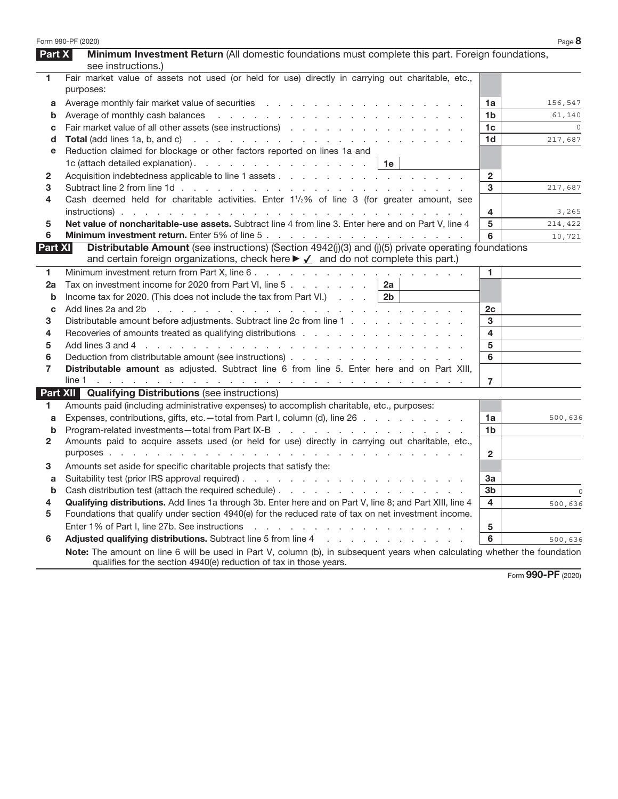|                | Form 990-PF (2020)                                                                                                                                                                                                             |                | Page 8  |
|----------------|--------------------------------------------------------------------------------------------------------------------------------------------------------------------------------------------------------------------------------|----------------|---------|
| <b>Part X</b>  | Minimum Investment Return (All domestic foundations must complete this part. Foreign foundations,                                                                                                                              |                |         |
|                | see instructions.)                                                                                                                                                                                                             |                |         |
| $\mathbf{1}$   | Fair market value of assets not used (or held for use) directly in carrying out charitable, etc.,<br>purposes:                                                                                                                 |                |         |
| a              |                                                                                                                                                                                                                                | 1a             | 156,547 |
| b              |                                                                                                                                                                                                                                | 1b             | 61,140  |
| c              | Fair market value of all other assets (see instructions)                                                                                                                                                                       | 1 <sub>c</sub> |         |
| d              |                                                                                                                                                                                                                                | 1 <sub>d</sub> | 217,687 |
| е              | Reduction claimed for blockage or other factors reported on lines 1a and                                                                                                                                                       |                |         |
|                | 1c (attach detailed explanation). $\therefore$ $\therefore$ $\therefore$ $\therefore$ $\therefore$ $\therefore$ $\therefore$ $\therefore$ 1e                                                                                   |                |         |
| 2              |                                                                                                                                                                                                                                | $\overline{2}$ |         |
| 3              |                                                                                                                                                                                                                                | 3              | 217,687 |
| 4              | Cash deemed held for charitable activities. Enter 1 <sup>1</sup> / <sub>2</sub> % of line 3 (for greater amount, see                                                                                                           |                |         |
|                |                                                                                                                                                                                                                                | 4              | 3,265   |
| 5              | Net value of noncharitable-use assets. Subtract line 4 from line 3. Enter here and on Part V, line 4                                                                                                                           | 5              | 214,422 |
| 6              |                                                                                                                                                                                                                                | 6              | 10,721  |
| <b>Part XI</b> | Distributable Amount (see instructions) (Section 4942(j)(3) and (j)(5) private operating foundations<br>and certain foreign organizations, check here ► √ and do not complete this part.)                                      |                |         |
| 1              |                                                                                                                                                                                                                                | 1.             |         |
| 2a             | Tax on investment income for 2020 from Part VI, line 5<br>2a                                                                                                                                                                   |                |         |
| b              | Income tax for 2020. (This does not include the tax from Part VI.) $\ldots$<br>2 <sub>b</sub>                                                                                                                                  |                |         |
| C              | Add lines 2a and 2b r and r and r and r and r and r and r and r and r and r and r and r and r and r and r and r and r and r and r and r and r and r and r and r and r and r and r and r and r and r and r and r and r and r an | 2c             |         |
| З              | Distributable amount before adjustments. Subtract line 2c from line 1                                                                                                                                                          | 3              |         |
| 4              | Recoveries of amounts treated as qualifying distributions recognitions of the content of the Recoveries of amounts treated as qualifying distributions recognized as a set of the Recording of the Recognization of Recognizat | $\overline{4}$ |         |
| 5              |                                                                                                                                                                                                                                | 5              |         |
| 6              |                                                                                                                                                                                                                                | 6              |         |
| 7              | Distributable amount as adjusted. Subtract line 6 from line 5. Enter here and on Part XIII,                                                                                                                                    |                |         |
|                |                                                                                                                                                                                                                                | $\overline{7}$ |         |
|                | <b>Part XII Qualifying Distributions (see instructions)</b>                                                                                                                                                                    |                |         |
| 1.             | Amounts paid (including administrative expenses) to accomplish charitable, etc., purposes:                                                                                                                                     |                |         |
| a              | Expenses, contributions, gifts, etc.—total from Part I, column (d), line 26                                                                                                                                                    | 1a             | 500,636 |
| b              |                                                                                                                                                                                                                                | 1b             |         |
| 2              | Amounts paid to acquire assets used (or held for use) directly in carrying out charitable, etc.,                                                                                                                               |                |         |
|                |                                                                                                                                                                                                                                | $\mathbf{2}$   |         |
| 3              | Amounts set aside for specific charitable projects that satisfy the:                                                                                                                                                           |                |         |
| a              |                                                                                                                                                                                                                                | За             |         |
|                | <b>b</b> Cash distribution test (attach the required schedule)                                                                                                                                                                 | 3 <sub>b</sub> | - 0     |
| 4              | Qualifying distributions. Add lines 1a through 3b. Enter here and on Part V, line 8; and Part XIII, line 4                                                                                                                     | 4              | 500,636 |
| 5              | Foundations that qualify under section 4940(e) for the reduced rate of tax on net investment income.                                                                                                                           |                |         |
|                |                                                                                                                                                                                                                                | ${\bf 5}$      |         |
| 6              | Adjusted qualifying distributions. Subtract line 5 from line 4 manufacturers and contact the substitution of the substitution of the substitution of Adjusted Qualitying distributions. Subtract line 5 from line 4            | 6              | 500,636 |
|                | Note: The amount on line 6 will be used in Part V, column (b), in subsequent years when calculating whether the foundation<br>qualifies for the section 4940(e) reduction of tax in those years.                               |                |         |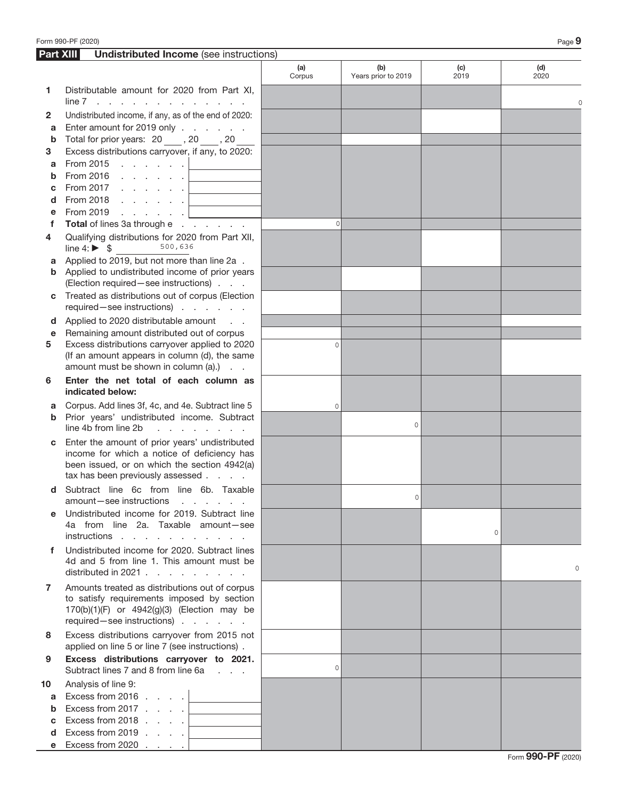| Part XIII | <b>Undistributed Income</b> (see instructions)                                                                                                                                    |               |                            |             |             |
|-----------|-----------------------------------------------------------------------------------------------------------------------------------------------------------------------------------|---------------|----------------------------|-------------|-------------|
|           |                                                                                                                                                                                   | (a)<br>Corpus | (b)<br>Years prior to 2019 | (c)<br>2019 | (d)<br>2020 |
| 1         | Distributable amount for 2020 from Part XI,<br>$line 7$                                                                                                                           |               |                            |             |             |
| 2         | Undistributed income, if any, as of the end of 2020:                                                                                                                              |               |                            |             |             |
| a         | Enter amount for 2019 only                                                                                                                                                        |               |                            |             |             |
| b         | Total for prior years: 20, 20, 20                                                                                                                                                 |               |                            |             |             |
| 3         | Excess distributions carryover, if any, to 2020:                                                                                                                                  |               |                            |             |             |
| a         | From 2015 $\, \cdot \,$ $\, \cdot \,$ $\, \cdot \,$ $\, \cdot \,$ $\,$ $\, \cdot \,$                                                                                              |               |                            |             |             |
| b         | From 2016                                                                                                                                                                         |               |                            |             |             |
| C         | From 2017 $\ldots$ $\ldots$ $\ldots$<br><u> 1990 - Johann Barnett, fransk politiker</u>                                                                                           |               |                            |             |             |
| d<br>е    | and the control of the control of the<br>From 2019<br><b>Contractor</b>                                                                                                           |               |                            |             |             |
| f         | Total of lines 3a through e                                                                                                                                                       | $\Omega$      |                            |             |             |
| 4         | Qualifying distributions for 2020 from Part XII,<br>500,636<br>line 4: $\triangleright$ \$                                                                                        |               |                            |             |             |
| a         | Applied to 2019, but not more than line 2a.                                                                                                                                       |               |                            |             |             |
|           | <b>b</b> Applied to undistributed income of prior years<br>(Election required - see instructions)                                                                                 |               |                            |             |             |
| C         | Treated as distributions out of corpus (Election<br>required-see instructions)                                                                                                    |               |                            |             |             |
| d         | Applied to 2020 distributable amount                                                                                                                                              |               |                            |             |             |
| e         | Remaining amount distributed out of corpus                                                                                                                                        |               |                            |             |             |
| 5         | Excess distributions carryover applied to 2020                                                                                                                                    | $\Omega$      |                            |             |             |
|           | (If an amount appears in column (d), the same<br>amount must be shown in column (a).)                                                                                             |               |                            |             |             |
| 6         | Enter the net total of each column as<br>indicated below:                                                                                                                         |               |                            |             |             |
| a         | Corpus. Add lines 3f, 4c, and 4e. Subtract line 5                                                                                                                                 | $\circ$       |                            |             |             |
| b         | Prior years' undistributed income. Subtract<br>line 4b from line 2b<br>and a state of the state of                                                                                |               | $\circ$                    |             |             |
| С         | Enter the amount of prior years' undistributed<br>income for which a notice of deficiency has<br>been issued, or on which the section 4942(a)<br>tax has been previously assessed |               |                            |             |             |
| d         | Subtract line 6c from line 6b. Taxable<br>amount—see instructions<br>the contract of the contract of the                                                                          |               | 0                          |             |             |
|           | Undistributed income for 2019. Subtract line<br>4a from line 2a. Taxable amount-see<br>instructions                                                                               |               |                            | $\circ$     |             |
| f         | Undistributed income for 2020. Subtract lines<br>4d and 5 from line 1. This amount must be<br>distributed in 2021                                                                 |               |                            |             | $\circ$     |
| 7         | Amounts treated as distributions out of corpus<br>to satisfy requirements imposed by section<br>170(b)(1)(F) or 4942(g)(3) (Election may be<br>required - see instructions)       |               |                            |             |             |
| 8         | Excess distributions carryover from 2015 not<br>applied on line 5 or line 7 (see instructions).                                                                                   |               |                            |             |             |
| 9         | Excess distributions carryover to 2021.<br>Subtract lines 7 and 8 from line 6a                                                                                                    | $\circ$       |                            |             |             |
| 10        | Analysis of line 9:                                                                                                                                                               |               |                            |             |             |
| a         | Excess from 2016 $\ldots$ .                                                                                                                                                       |               |                            |             |             |
| b         | Excess from 2017<br>and the control of the control of                                                                                                                             |               |                            |             |             |
| C         | Excess from 2018<br>and the control of the control of the                                                                                                                         |               |                            |             |             |
| d         | Excess from 2019 $\ldots$ .<br><u> 1980 - John Barn Barn, mars a</u>                                                                                                              |               |                            |             |             |
| е         | Excess from 2020 $\ldots$ $\ldots$                                                                                                                                                |               |                            |             |             |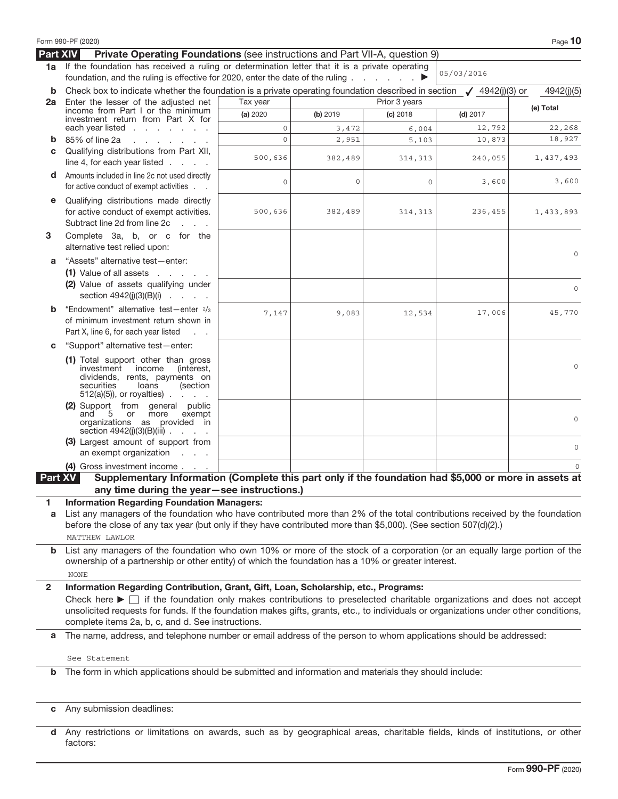|                 | Form 990-PF (2020)                                                                                                                                                                                                                                                                                                                                                                                                                 |          |          |               |            | Page 10            |
|-----------------|------------------------------------------------------------------------------------------------------------------------------------------------------------------------------------------------------------------------------------------------------------------------------------------------------------------------------------------------------------------------------------------------------------------------------------|----------|----------|---------------|------------|--------------------|
| <b>Part XIV</b> | Private Operating Foundations (see instructions and Part VII-A, question 9)                                                                                                                                                                                                                                                                                                                                                        |          |          |               |            |                    |
| 1a              | If the foundation has received a ruling or determination letter that it is a private operating                                                                                                                                                                                                                                                                                                                                     |          |          |               | 05/03/2016 |                    |
|                 | foundation, and the ruling is effective for 2020, enter the date of the ruling                                                                                                                                                                                                                                                                                                                                                     |          |          | ▶             |            |                    |
| b               | Check box to indicate whether the foundation is a private operating foundation described in section $\sqrt{4942}$ (j)(3) or                                                                                                                                                                                                                                                                                                        |          |          |               |            | 4942(j)(5)         |
| 2a              | Enter the lesser of the adjusted net<br>income from Part I or the minimum                                                                                                                                                                                                                                                                                                                                                          | Tax year |          | Prior 3 years |            | (e) Total          |
|                 | investment return from Part X for                                                                                                                                                                                                                                                                                                                                                                                                  | (a) 2020 | (b) 2019 | $(c)$ 2018    | $(d)$ 2017 |                    |
|                 | each year listed $\ldots$ $\ldots$ $\ldots$                                                                                                                                                                                                                                                                                                                                                                                        | $\circ$  | 3,472    | 6,004         | 12,792     | 22,268             |
| b               | 85% of line 2a<br>and a state of the state of the                                                                                                                                                                                                                                                                                                                                                                                  | $\circ$  | 2,951    | 5,103         | 10,873     | 18,927             |
| C               | Qualifying distributions from Part XII,<br>line 4, for each year listed $\ldots$ .                                                                                                                                                                                                                                                                                                                                                 | 500,636  | 382,489  | 314,313       | 240,055    | 1,437,493          |
| d               | Amounts included in line 2c not used directly<br>for active conduct of exempt activities                                                                                                                                                                                                                                                                                                                                           | $\circ$  | 0        | 0             | 3,600      | 3,600              |
| е               | Qualifying distributions made directly<br>for active conduct of exempt activities.<br>Subtract line 2d from line 2c<br><b>Service</b>                                                                                                                                                                                                                                                                                              | 500,636  | 382,489  | 314,313       | 236,455    | 1,433,893          |
| 3               | Complete 3a, b, or c for the<br>alternative test relied upon:                                                                                                                                                                                                                                                                                                                                                                      |          |          |               |            | $\circ$            |
| a               | "Assets" alternative test-enter:                                                                                                                                                                                                                                                                                                                                                                                                   |          |          |               |            |                    |
|                 | $(1)$ Value of all assets $\ldots$ $\ldots$                                                                                                                                                                                                                                                                                                                                                                                        |          |          |               |            |                    |
|                 | (2) Value of assets qualifying under<br>section $4942(j)(3)(B)(i)$                                                                                                                                                                                                                                                                                                                                                                 |          |          |               |            | $\circ$            |
| b               | "Endowment" alternative test-enter 2/3                                                                                                                                                                                                                                                                                                                                                                                             | 7,147    | 9,083    | 12,534        | 17,006     | 45,770             |
|                 | of minimum investment return shown in<br>Part X, line 6, for each year listed<br>$\sim 10$ $\sim$                                                                                                                                                                                                                                                                                                                                  |          |          |               |            |                    |
| C               | "Support" alternative test-enter:                                                                                                                                                                                                                                                                                                                                                                                                  |          |          |               |            |                    |
|                 | (1) Total support other than gross<br>investment<br>income<br>(interest,<br>dividends, rents, payments on<br>securities<br>loans<br>(section<br>$512(a)(5)$ , or royalties).                                                                                                                                                                                                                                                       |          |          |               |            | $\circ$            |
|                 | (2) Support from general public<br>and<br>5<br>more<br>exempt<br>or<br>organizations as provided in<br>section $4942(j)(3)(B)(iii)$<br>(3) Largest amount of support from<br>an exempt organization<br><b>Carl Corp.</b>                                                                                                                                                                                                           |          |          |               |            | $\circ$<br>$\circ$ |
|                 |                                                                                                                                                                                                                                                                                                                                                                                                                                    |          |          |               |            |                    |
|                 | (4) Gross investment income                                                                                                                                                                                                                                                                                                                                                                                                        |          |          |               |            |                    |
| Part XV         | Supplementary Information (Complete this part only if the foundation had \$5,000 or more in assets at<br>any time during the year-see instructions.)                                                                                                                                                                                                                                                                               |          |          |               |            |                    |
| 1               | <b>Information Regarding Foundation Managers:</b>                                                                                                                                                                                                                                                                                                                                                                                  |          |          |               |            |                    |
| a               | List any managers of the foundation who have contributed more than 2% of the total contributions received by the foundation<br>before the close of any tax year (but only if they have contributed more than \$5,000). (See section 507(d)(2).)<br><b>MATTHEW LAWLOR</b>                                                                                                                                                           |          |          |               |            |                    |
| b               | List any managers of the foundation who own 10% or more of the stock of a corporation (or an equally large portion of the                                                                                                                                                                                                                                                                                                          |          |          |               |            |                    |
|                 | ownership of a partnership or other entity) of which the foundation has a 10% or greater interest.                                                                                                                                                                                                                                                                                                                                 |          |          |               |            |                    |
|                 | <b>NONE</b>                                                                                                                                                                                                                                                                                                                                                                                                                        |          |          |               |            |                    |
| $\mathbf{2}$    |                                                                                                                                                                                                                                                                                                                                                                                                                                    |          |          |               |            |                    |
|                 | Information Regarding Contribution, Grant, Gift, Loan, Scholarship, etc., Programs:<br>Check here $\blacktriangleright$ $\Box$ if the foundation only makes contributions to preselected charitable organizations and does not accept<br>unsolicited requests for funds. If the foundation makes gifts, grants, etc., to individuals or organizations under other conditions,<br>complete items 2a, b, c, and d. See instructions. |          |          |               |            |                    |
| a               | The name, address, and telephone number or email address of the person to whom applications should be addressed:                                                                                                                                                                                                                                                                                                                   |          |          |               |            |                    |
|                 | See Statement                                                                                                                                                                                                                                                                                                                                                                                                                      |          |          |               |            |                    |
| b               | The form in which applications should be submitted and information and materials they should include:                                                                                                                                                                                                                                                                                                                              |          |          |               |            |                    |
|                 |                                                                                                                                                                                                                                                                                                                                                                                                                                    |          |          |               |            |                    |
| C               | Any submission deadlines:                                                                                                                                                                                                                                                                                                                                                                                                          |          |          |               |            |                    |

d Any restrictions or limitations on awards, such as by geographical areas, charitable fields, kinds of institutions, or other factors: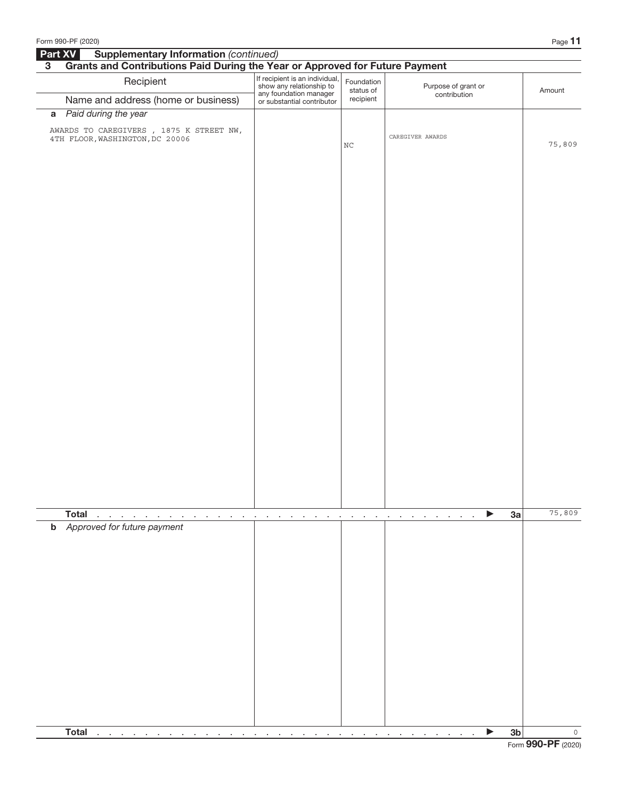| Form 990-PF (2020)                                                                                   |                                                                                                                    |                                                               |                                                         |                | Page 11 |
|------------------------------------------------------------------------------------------------------|--------------------------------------------------------------------------------------------------------------------|---------------------------------------------------------------|---------------------------------------------------------|----------------|---------|
| <b>Supplementary Information (continued)</b><br>Part XV                                              |                                                                                                                    |                                                               |                                                         |                |         |
| Grants and Contributions Paid During the Year or Approved for Future Payment<br>$\overline{3}$       |                                                                                                                    |                                                               |                                                         |                |         |
| Recipient                                                                                            | If recipient is an individual,<br>show any relationship to<br>any foundation manager<br>or substantial contributor | Foundation<br>status of                                       | Purpose of grant or<br>contribution                     |                | Amount  |
| Name and address (home or business)                                                                  |                                                                                                                    | recipient                                                     |                                                         |                |         |
| Paid during the year<br>$\mathbf a$                                                                  |                                                                                                                    |                                                               |                                                         |                |         |
| AWARDS TO CAREGIVERS , 1875 K STREET NW,                                                             |                                                                                                                    |                                                               | CAREGIVER AWARDS                                        |                |         |
| 4TH FLOOR, WASHINGTON, DC 20006                                                                      |                                                                                                                    | $\rm{NC}$                                                     |                                                         |                | 75,809  |
|                                                                                                      |                                                                                                                    |                                                               |                                                         |                |         |
|                                                                                                      |                                                                                                                    |                                                               |                                                         |                |         |
|                                                                                                      |                                                                                                                    |                                                               |                                                         |                |         |
|                                                                                                      |                                                                                                                    |                                                               |                                                         |                |         |
|                                                                                                      |                                                                                                                    |                                                               |                                                         |                |         |
|                                                                                                      |                                                                                                                    |                                                               |                                                         |                |         |
|                                                                                                      |                                                                                                                    |                                                               |                                                         |                |         |
|                                                                                                      |                                                                                                                    |                                                               |                                                         |                |         |
|                                                                                                      |                                                                                                                    |                                                               |                                                         |                |         |
|                                                                                                      |                                                                                                                    |                                                               |                                                         |                |         |
|                                                                                                      |                                                                                                                    |                                                               |                                                         |                |         |
|                                                                                                      |                                                                                                                    |                                                               |                                                         |                |         |
|                                                                                                      |                                                                                                                    |                                                               |                                                         |                |         |
|                                                                                                      |                                                                                                                    |                                                               |                                                         |                |         |
|                                                                                                      |                                                                                                                    |                                                               |                                                         |                |         |
|                                                                                                      |                                                                                                                    |                                                               |                                                         |                |         |
|                                                                                                      |                                                                                                                    |                                                               |                                                         |                |         |
|                                                                                                      |                                                                                                                    |                                                               |                                                         |                |         |
|                                                                                                      |                                                                                                                    |                                                               |                                                         |                |         |
|                                                                                                      |                                                                                                                    |                                                               |                                                         |                |         |
|                                                                                                      |                                                                                                                    |                                                               |                                                         |                |         |
|                                                                                                      |                                                                                                                    |                                                               |                                                         |                |         |
|                                                                                                      |                                                                                                                    |                                                               |                                                         |                |         |
|                                                                                                      |                                                                                                                    |                                                               |                                                         |                |         |
|                                                                                                      |                                                                                                                    |                                                               |                                                         |                |         |
|                                                                                                      |                                                                                                                    |                                                               |                                                         |                |         |
| <b>Total</b><br>the contract of<br>$\sim$<br>$\sim$                                                  | $\mathbf{r}$<br>$\sim$<br>$\mathbf{r}$<br>$\blacksquare$<br>$\cdot$<br>$\cdot$                                     | $\sim$ 100 $\mu$<br>$\sim 10^{-1}$<br>$\cdot$<br>$\mathbf{r}$ | ▶<br>$\sim$<br>$\cdot$<br>$\cdot$<br>$\cdot$<br>$\cdot$ | 3a             | 75,809  |
| <b>b</b> Approved for future payment                                                                 |                                                                                                                    |                                                               |                                                         |                |         |
|                                                                                                      |                                                                                                                    |                                                               |                                                         |                |         |
|                                                                                                      |                                                                                                                    |                                                               |                                                         |                |         |
|                                                                                                      |                                                                                                                    |                                                               |                                                         |                |         |
|                                                                                                      |                                                                                                                    |                                                               |                                                         |                |         |
|                                                                                                      |                                                                                                                    |                                                               |                                                         |                |         |
|                                                                                                      |                                                                                                                    |                                                               |                                                         |                |         |
|                                                                                                      |                                                                                                                    |                                                               |                                                         |                |         |
|                                                                                                      |                                                                                                                    |                                                               |                                                         |                |         |
|                                                                                                      |                                                                                                                    |                                                               |                                                         |                |         |
|                                                                                                      |                                                                                                                    |                                                               |                                                         |                |         |
|                                                                                                      |                                                                                                                    |                                                               |                                                         |                |         |
|                                                                                                      |                                                                                                                    |                                                               |                                                         |                |         |
|                                                                                                      |                                                                                                                    |                                                               |                                                         |                |         |
|                                                                                                      |                                                                                                                    |                                                               |                                                         |                |         |
| <b>Total</b><br>the contract of the contract of<br>$\cdot$<br>$\sim$<br>$\cdot$<br>$\cdot$<br>$\sim$ | $\cdot$<br>$\sim$<br>$\cdot$                                                                                       | $\sim$ $\sim$<br>$\cdot$<br>$\cdot$                           | and a straightful and a straight                        | 3 <sub>b</sub> | $\circ$ |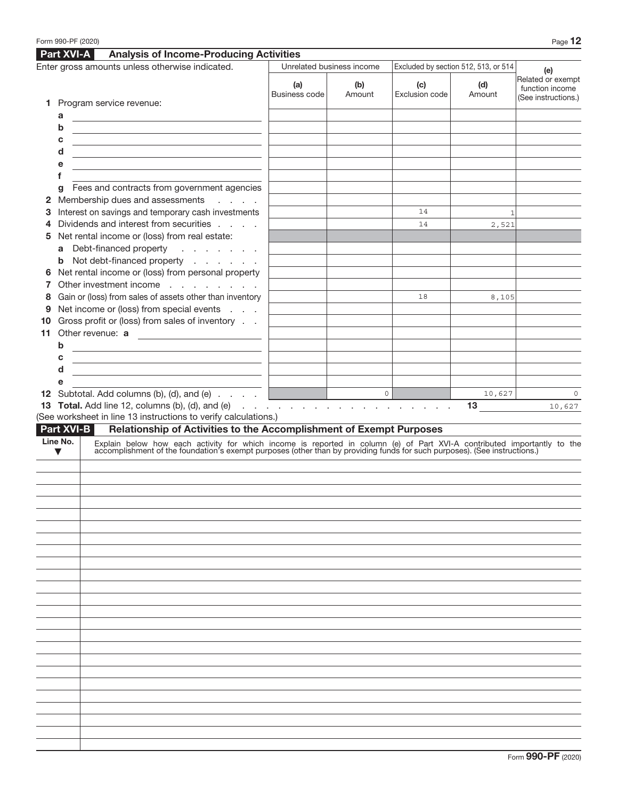|    |                      | Part XVI-A<br><b>Analysis of Income-Producing Activities</b>                                                                                                                                                                  |                      |                                                                                                                                                                                                                                                                                                                                                                                                                                                                     |                       |                                      |                                                             |
|----|----------------------|-------------------------------------------------------------------------------------------------------------------------------------------------------------------------------------------------------------------------------|----------------------|---------------------------------------------------------------------------------------------------------------------------------------------------------------------------------------------------------------------------------------------------------------------------------------------------------------------------------------------------------------------------------------------------------------------------------------------------------------------|-----------------------|--------------------------------------|-------------------------------------------------------------|
|    |                      | Enter gross amounts unless otherwise indicated.                                                                                                                                                                               |                      | Unrelated business income                                                                                                                                                                                                                                                                                                                                                                                                                                           |                       | Excluded by section 512, 513, or 514 | (e)                                                         |
|    |                      | 1 Program service revenue:                                                                                                                                                                                                    | (a)<br>Business code | (b)<br>Amount                                                                                                                                                                                                                                                                                                                                                                                                                                                       | (c)<br>Exclusion code | (d)<br>Amount                        | Related or exempt<br>function income<br>(See instructions.) |
|    | a                    |                                                                                                                                                                                                                               |                      |                                                                                                                                                                                                                                                                                                                                                                                                                                                                     |                       |                                      |                                                             |
|    | b                    | <u> 1980 - Johann Barn, amerikansk politiker (</u>                                                                                                                                                                            |                      |                                                                                                                                                                                                                                                                                                                                                                                                                                                                     |                       |                                      |                                                             |
|    | c                    |                                                                                                                                                                                                                               |                      |                                                                                                                                                                                                                                                                                                                                                                                                                                                                     |                       |                                      |                                                             |
|    | d                    | <u> 1980 - Johann Barn, mars ann an t-Amhair an t-Amhair an t-Amhair an t-Amhair an t-Amhair an t-Amhair an t-Amh</u>                                                                                                         |                      |                                                                                                                                                                                                                                                                                                                                                                                                                                                                     |                       |                                      |                                                             |
|    | е                    | <u> 1980 - Johann Barn, amerikansk politiker (d. 1980)</u>                                                                                                                                                                    |                      |                                                                                                                                                                                                                                                                                                                                                                                                                                                                     |                       |                                      |                                                             |
|    | f                    |                                                                                                                                                                                                                               |                      |                                                                                                                                                                                                                                                                                                                                                                                                                                                                     |                       |                                      |                                                             |
|    | g                    | Fees and contracts from government agencies<br>2 Membership dues and assessments<br>and a state                                                                                                                               |                      |                                                                                                                                                                                                                                                                                                                                                                                                                                                                     |                       |                                      |                                                             |
| 3  |                      | Interest on savings and temporary cash investments                                                                                                                                                                            |                      |                                                                                                                                                                                                                                                                                                                                                                                                                                                                     | 14                    | $\mathbf 1$                          |                                                             |
| 4  |                      | Dividends and interest from securities                                                                                                                                                                                        |                      |                                                                                                                                                                                                                                                                                                                                                                                                                                                                     | 14                    | 2,521                                |                                                             |
| 5  |                      | Net rental income or (loss) from real estate:                                                                                                                                                                                 |                      |                                                                                                                                                                                                                                                                                                                                                                                                                                                                     |                       |                                      |                                                             |
|    |                      | a Debt-financed property<br>and the contract of                                                                                                                                                                               |                      |                                                                                                                                                                                                                                                                                                                                                                                                                                                                     |                       |                                      |                                                             |
|    |                      | <b>b</b> Not debt-financed property                                                                                                                                                                                           |                      |                                                                                                                                                                                                                                                                                                                                                                                                                                                                     |                       |                                      |                                                             |
| 6  |                      | Net rental income or (loss) from personal property                                                                                                                                                                            |                      |                                                                                                                                                                                                                                                                                                                                                                                                                                                                     |                       |                                      |                                                             |
| 7  |                      | Other investment income                                                                                                                                                                                                       |                      |                                                                                                                                                                                                                                                                                                                                                                                                                                                                     |                       |                                      |                                                             |
| 8  |                      | Gain or (loss) from sales of assets other than inventory                                                                                                                                                                      |                      |                                                                                                                                                                                                                                                                                                                                                                                                                                                                     | 18                    | 8,105                                |                                                             |
| 9  |                      | Net income or (loss) from special events                                                                                                                                                                                      |                      |                                                                                                                                                                                                                                                                                                                                                                                                                                                                     |                       |                                      |                                                             |
| 10 |                      | Gross profit or (loss) from sales of inventory                                                                                                                                                                                |                      |                                                                                                                                                                                                                                                                                                                                                                                                                                                                     |                       |                                      |                                                             |
| 11 |                      | Other revenue: a                                                                                                                                                                                                              |                      |                                                                                                                                                                                                                                                                                                                                                                                                                                                                     |                       |                                      |                                                             |
|    | b                    | <u> 1989 - Johann Barn, amerikansk politiker (</u>                                                                                                                                                                            |                      |                                                                                                                                                                                                                                                                                                                                                                                                                                                                     |                       |                                      |                                                             |
|    | c                    | <u> 1989 - Johann Barn, amerikansk politiker (</u>                                                                                                                                                                            |                      |                                                                                                                                                                                                                                                                                                                                                                                                                                                                     |                       |                                      |                                                             |
|    | d<br>е               | the control of the control of the control of the control of the control of                                                                                                                                                    |                      |                                                                                                                                                                                                                                                                                                                                                                                                                                                                     |                       |                                      |                                                             |
|    |                      | <b>12</b> Subtotal. Add columns (b), (d), and (e) $\ldots$ $\ldots$                                                                                                                                                           |                      | $\begin{array}{c c} \multicolumn{3}{c }{\textbf{0}} & \multicolumn{3}{c }{\textbf{0}} \\ \multicolumn{3}{c }{\textbf{0}} & \multicolumn{3}{c }{\textbf{0}} \\ \multicolumn{3}{c }{\textbf{0}} & \multicolumn{3}{c }{\textbf{0}} \\ \multicolumn{3}{c }{\textbf{0}} & \multicolumn{3}{c }{\textbf{0}} \\ \multicolumn{3}{c }{\textbf{0}} & \multicolumn{3}{c }{\textbf{0}} \\ \multicolumn{3}{c }{\textbf{0}} & \multicolumn{3}{c }{\textbf{0}} \\ \multicolumn{3}{$ |                       | 10,627                               | $\circ$                                                     |
|    |                      |                                                                                                                                                                                                                               |                      |                                                                                                                                                                                                                                                                                                                                                                                                                                                                     |                       |                                      |                                                             |
|    |                      |                                                                                                                                                                                                                               |                      |                                                                                                                                                                                                                                                                                                                                                                                                                                                                     |                       | 13 <sup>°</sup>                      |                                                             |
|    |                      | <b>13 Total.</b> Add line 12, columns (b), (d), and (e) $\ldots$ $\ldots$ $\ldots$ $\ldots$ $\ldots$ $\ldots$ $\ldots$<br>(See worksheet in line 13 instructions to verify calculations.)                                     |                      |                                                                                                                                                                                                                                                                                                                                                                                                                                                                     |                       |                                      | 10,627                                                      |
|    |                      | Relationship of Activities to the Accomplishment of Exempt Purposes<br><b>Part XVI-B</b>                                                                                                                                      |                      |                                                                                                                                                                                                                                                                                                                                                                                                                                                                     |                       |                                      |                                                             |
|    | Line No.             |                                                                                                                                                                                                                               |                      |                                                                                                                                                                                                                                                                                                                                                                                                                                                                     |                       |                                      |                                                             |
|    | $\blacktriangledown$ | Explain below how each activity for which income is reported in column (e) of Part XVI-A contributed importantly to the accomplishment of the foundation's exempt purposes (other than by providing funds for such purposes). |                      |                                                                                                                                                                                                                                                                                                                                                                                                                                                                     |                       |                                      |                                                             |
|    |                      |                                                                                                                                                                                                                               |                      |                                                                                                                                                                                                                                                                                                                                                                                                                                                                     |                       |                                      |                                                             |
|    |                      |                                                                                                                                                                                                                               |                      |                                                                                                                                                                                                                                                                                                                                                                                                                                                                     |                       |                                      |                                                             |
|    |                      |                                                                                                                                                                                                                               |                      |                                                                                                                                                                                                                                                                                                                                                                                                                                                                     |                       |                                      |                                                             |
|    |                      |                                                                                                                                                                                                                               |                      |                                                                                                                                                                                                                                                                                                                                                                                                                                                                     |                       |                                      |                                                             |
|    |                      |                                                                                                                                                                                                                               |                      |                                                                                                                                                                                                                                                                                                                                                                                                                                                                     |                       |                                      |                                                             |
|    |                      |                                                                                                                                                                                                                               |                      |                                                                                                                                                                                                                                                                                                                                                                                                                                                                     |                       |                                      |                                                             |
|    |                      |                                                                                                                                                                                                                               |                      |                                                                                                                                                                                                                                                                                                                                                                                                                                                                     |                       |                                      |                                                             |
|    |                      |                                                                                                                                                                                                                               |                      |                                                                                                                                                                                                                                                                                                                                                                                                                                                                     |                       |                                      |                                                             |
|    |                      |                                                                                                                                                                                                                               |                      |                                                                                                                                                                                                                                                                                                                                                                                                                                                                     |                       |                                      |                                                             |
|    |                      |                                                                                                                                                                                                                               |                      |                                                                                                                                                                                                                                                                                                                                                                                                                                                                     |                       |                                      |                                                             |
|    |                      |                                                                                                                                                                                                                               |                      |                                                                                                                                                                                                                                                                                                                                                                                                                                                                     |                       |                                      |                                                             |
|    |                      |                                                                                                                                                                                                                               |                      |                                                                                                                                                                                                                                                                                                                                                                                                                                                                     |                       |                                      |                                                             |
|    |                      |                                                                                                                                                                                                                               |                      |                                                                                                                                                                                                                                                                                                                                                                                                                                                                     |                       |                                      |                                                             |
|    |                      |                                                                                                                                                                                                                               |                      |                                                                                                                                                                                                                                                                                                                                                                                                                                                                     |                       |                                      |                                                             |
|    |                      |                                                                                                                                                                                                                               |                      |                                                                                                                                                                                                                                                                                                                                                                                                                                                                     |                       |                                      |                                                             |
|    |                      |                                                                                                                                                                                                                               |                      |                                                                                                                                                                                                                                                                                                                                                                                                                                                                     |                       |                                      |                                                             |
|    |                      |                                                                                                                                                                                                                               |                      |                                                                                                                                                                                                                                                                                                                                                                                                                                                                     |                       |                                      |                                                             |
|    |                      |                                                                                                                                                                                                                               |                      |                                                                                                                                                                                                                                                                                                                                                                                                                                                                     |                       |                                      |                                                             |
|    |                      |                                                                                                                                                                                                                               |                      |                                                                                                                                                                                                                                                                                                                                                                                                                                                                     |                       |                                      |                                                             |
|    |                      |                                                                                                                                                                                                                               |                      |                                                                                                                                                                                                                                                                                                                                                                                                                                                                     |                       |                                      |                                                             |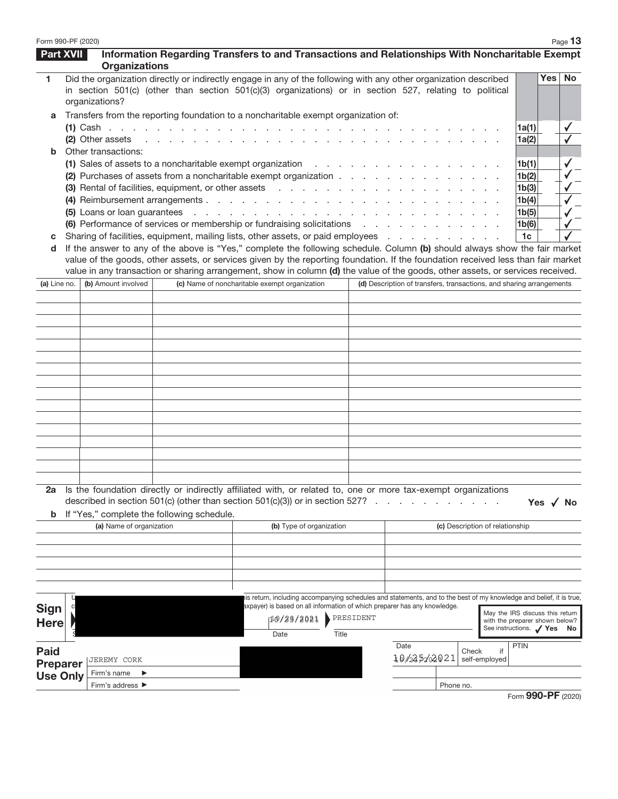| Form 990-PF (2020) |                                                                                                                          |                          |                                                                                                                                                                                                                                                                 |                                               |                          |                                     |                                                                                                                     |                                 |                                                              | Page 13        |
|--------------------|--------------------------------------------------------------------------------------------------------------------------|--------------------------|-----------------------------------------------------------------------------------------------------------------------------------------------------------------------------------------------------------------------------------------------------------------|-----------------------------------------------|--------------------------|-------------------------------------|---------------------------------------------------------------------------------------------------------------------|---------------------------------|--------------------------------------------------------------|----------------|
| Part XVII          |                                                                                                                          | <b>Organizations</b>     | Information Regarding Transfers to and Transactions and Relationships With Noncharitable Exempt                                                                                                                                                                 |                                               |                          |                                     |                                                                                                                     |                                 |                                                              |                |
| 1                  |                                                                                                                          | organizations?           | Did the organization directly or indirectly engage in any of the following with any other organization described<br>in section 501(c) (other than section 501(c)(3) organizations) or in section 527, relating to political                                     |                                               |                          |                                     |                                                                                                                     |                                 | Yes                                                          | <b>No</b>      |
| a                  |                                                                                                                          |                          | Transfers from the reporting foundation to a noncharitable exempt organization of:                                                                                                                                                                              |                                               |                          |                                     |                                                                                                                     |                                 |                                                              |                |
|                    |                                                                                                                          |                          |                                                                                                                                                                                                                                                                 |                                               |                          |                                     |                                                                                                                     |                                 | 1a(1)                                                        | $\checkmark$   |
|                    |                                                                                                                          | (2) Other assets         |                                                                                                                                                                                                                                                                 |                                               |                          | the contract of the contract of the |                                                                                                                     |                                 | 1a(2)                                                        |                |
|                    | Other transactions:                                                                                                      |                          |                                                                                                                                                                                                                                                                 |                                               |                          |                                     |                                                                                                                     |                                 |                                                              |                |
|                    |                                                                                                                          |                          | (1) Sales of assets to a noncharitable exempt organization                                                                                                                                                                                                      |                                               |                          | the control of the con-             |                                                                                                                     |                                 | 1 <sub>b</sub> (1)                                           |                |
|                    | (2) Purchases of assets from a noncharitable exempt organization<br>(3) Rental of facilities, equipment, or other assets |                          |                                                                                                                                                                                                                                                                 |                                               |                          |                                     |                                                                                                                     |                                 | 1b(2)                                                        |                |
|                    |                                                                                                                          |                          |                                                                                                                                                                                                                                                                 |                                               |                          |                                     |                                                                                                                     |                                 | 1b(3)                                                        |                |
|                    |                                                                                                                          |                          | (4) Reimbursement arrangements                                                                                                                                                                                                                                  |                                               |                          |                                     |                                                                                                                     |                                 | 1b(4)                                                        |                |
|                    |                                                                                                                          |                          |                                                                                                                                                                                                                                                                 |                                               |                          |                                     |                                                                                                                     |                                 | 1b(5)                                                        |                |
|                    |                                                                                                                          |                          | (6) Performance of services or membership or fundraising solicitations                                                                                                                                                                                          |                                               |                          |                                     |                                                                                                                     |                                 | 1b(6)                                                        |                |
| с                  |                                                                                                                          |                          | Sharing of facilities, equipment, mailing lists, other assets, or paid employees                                                                                                                                                                                |                                               |                          |                                     |                                                                                                                     |                                 | 1 <sub>c</sub>                                               |                |
| d                  |                                                                                                                          |                          | If the answer to any of the above is "Yes," complete the following schedule. Column (b) should always show the fair market<br>value of the goods, other assets, or services given by the reporting foundation. If the foundation received less than fair market |                                               |                          |                                     |                                                                                                                     |                                 |                                                              |                |
|                    |                                                                                                                          |                          | value in any transaction or sharing arrangement, show in column (d) the value of the goods, other assets, or services received.                                                                                                                                 |                                               |                          |                                     |                                                                                                                     |                                 |                                                              |                |
| (a) Line no.       |                                                                                                                          | (b) Amount involved      |                                                                                                                                                                                                                                                                 | (c) Name of noncharitable exempt organization |                          |                                     | (d) Description of transfers, transactions, and sharing arrangements                                                |                                 |                                                              |                |
|                    |                                                                                                                          |                          |                                                                                                                                                                                                                                                                 |                                               |                          |                                     |                                                                                                                     |                                 |                                                              |                |
|                    |                                                                                                                          |                          |                                                                                                                                                                                                                                                                 |                                               |                          |                                     |                                                                                                                     |                                 |                                                              |                |
|                    |                                                                                                                          |                          |                                                                                                                                                                                                                                                                 |                                               |                          |                                     |                                                                                                                     |                                 |                                                              |                |
|                    |                                                                                                                          |                          |                                                                                                                                                                                                                                                                 |                                               |                          |                                     |                                                                                                                     |                                 |                                                              |                |
|                    |                                                                                                                          |                          |                                                                                                                                                                                                                                                                 |                                               |                          |                                     |                                                                                                                     |                                 |                                                              |                |
|                    |                                                                                                                          |                          |                                                                                                                                                                                                                                                                 |                                               |                          |                                     |                                                                                                                     |                                 |                                                              |                |
|                    |                                                                                                                          |                          |                                                                                                                                                                                                                                                                 |                                               |                          |                                     |                                                                                                                     |                                 |                                                              |                |
|                    |                                                                                                                          |                          |                                                                                                                                                                                                                                                                 |                                               |                          |                                     |                                                                                                                     |                                 |                                                              |                |
|                    |                                                                                                                          |                          |                                                                                                                                                                                                                                                                 |                                               |                          |                                     |                                                                                                                     |                                 |                                                              |                |
|                    |                                                                                                                          |                          |                                                                                                                                                                                                                                                                 |                                               |                          |                                     |                                                                                                                     |                                 |                                                              |                |
|                    |                                                                                                                          |                          |                                                                                                                                                                                                                                                                 |                                               |                          |                                     |                                                                                                                     |                                 |                                                              |                |
|                    |                                                                                                                          |                          |                                                                                                                                                                                                                                                                 |                                               |                          |                                     |                                                                                                                     |                                 |                                                              |                |
|                    |                                                                                                                          |                          |                                                                                                                                                                                                                                                                 |                                               |                          |                                     |                                                                                                                     |                                 |                                                              |                |
|                    |                                                                                                                          |                          |                                                                                                                                                                                                                                                                 |                                               |                          |                                     |                                                                                                                     |                                 |                                                              |                |
|                    |                                                                                                                          |                          |                                                                                                                                                                                                                                                                 |                                               |                          |                                     |                                                                                                                     |                                 |                                                              |                |
|                    |                                                                                                                          |                          | Is the foundation directly or indirectly affiliated with, or related to, one or more tax-exempt organizations<br>described in section 501(c) (other than section 501(c)(3)) or in section 527?                                                                  |                                               |                          |                                     |                                                                                                                     |                                 |                                                              | Yes $\sqrt{N}$ |
| b                  |                                                                                                                          |                          | If "Yes," complete the following schedule.                                                                                                                                                                                                                      |                                               |                          |                                     |                                                                                                                     |                                 |                                                              |                |
|                    |                                                                                                                          | (a) Name of organization |                                                                                                                                                                                                                                                                 |                                               | (b) Type of organization |                                     |                                                                                                                     | (c) Description of relationship |                                                              |                |
|                    |                                                                                                                          |                          |                                                                                                                                                                                                                                                                 |                                               |                          |                                     |                                                                                                                     |                                 |                                                              |                |
|                    |                                                                                                                          |                          |                                                                                                                                                                                                                                                                 |                                               |                          |                                     |                                                                                                                     |                                 |                                                              |                |
|                    |                                                                                                                          |                          |                                                                                                                                                                                                                                                                 |                                               |                          |                                     |                                                                                                                     |                                 |                                                              |                |
|                    |                                                                                                                          |                          |                                                                                                                                                                                                                                                                 |                                               |                          |                                     |                                                                                                                     |                                 |                                                              |                |
|                    |                                                                                                                          |                          |                                                                                                                                                                                                                                                                 |                                               |                          |                                     | is return, including accompanying schedules and statements, and to the best of my knowledge and belief, it is true, |                                 |                                                              |                |
| <b>Sign</b>        |                                                                                                                          |                          |                                                                                                                                                                                                                                                                 |                                               |                          |                                     | axpayer) is based on all information of which preparer has any knowledge.                                           |                                 | May the IRS discuss this return                              |                |
| <b>Here</b>        |                                                                                                                          |                          |                                                                                                                                                                                                                                                                 |                                               | 10/26/2021 PRESIDENT     |                                     |                                                                                                                     |                                 | with the preparer shown below?<br>See instructions. / Yes No |                |
|                    |                                                                                                                          |                          |                                                                                                                                                                                                                                                                 | Date                                          |                          | Title                               |                                                                                                                     |                                 |                                                              |                |
| <b>Paid</b>        |                                                                                                                          |                          |                                                                                                                                                                                                                                                                 |                                               |                          |                                     | Date                                                                                                                | if<br>Check                     | <b>PTIN</b>                                                  |                |
| <b>Preparer</b>    |                                                                                                                          | JEREMY CORK              |                                                                                                                                                                                                                                                                 |                                               |                          |                                     | 10/235202021                                                                                                        | self-employed                   |                                                              |                |
| <b>Use Only</b>    |                                                                                                                          | Firm's name<br>▶         |                                                                                                                                                                                                                                                                 |                                               |                          |                                     |                                                                                                                     |                                 |                                                              |                |
|                    |                                                                                                                          | Firm's address ▶         |                                                                                                                                                                                                                                                                 |                                               |                          |                                     |                                                                                                                     | Phone no.                       |                                                              |                |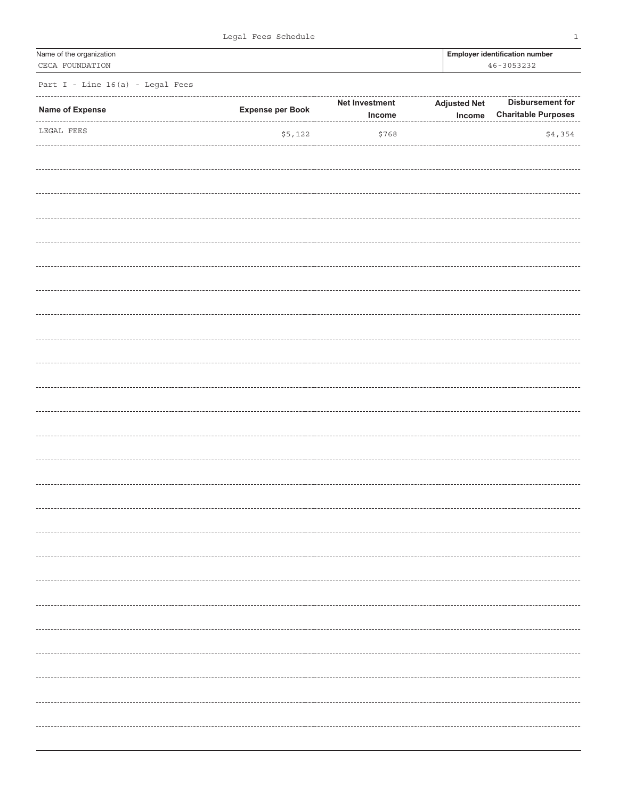| Name of the organization<br>CECA FOUNDATION |                         | <b>Employer identification number</b><br>46-3053232 |                                 |                                                       |
|---------------------------------------------|-------------------------|-----------------------------------------------------|---------------------------------|-------------------------------------------------------|
| Part I - Line 16(a) - Legal Fees            |                         |                                                     |                                 |                                                       |
| Name of Expense                             | <b>Expense per Book</b> | Net Investment<br>Income                            | <b>Adjusted Net</b><br>$Income$ | <b>Disbursement for</b><br><b>Charitable Purposes</b> |
| LEGAL FEES                                  | \$5,122                 | \$768                                               |                                 | \$4,354                                               |
|                                             |                         |                                                     |                                 |                                                       |
|                                             |                         |                                                     |                                 |                                                       |
|                                             |                         |                                                     |                                 |                                                       |
|                                             |                         |                                                     |                                 |                                                       |
|                                             |                         |                                                     |                                 |                                                       |
|                                             |                         |                                                     |                                 |                                                       |
|                                             |                         |                                                     |                                 |                                                       |
|                                             |                         |                                                     |                                 |                                                       |
|                                             |                         |                                                     |                                 |                                                       |
|                                             |                         |                                                     |                                 |                                                       |
|                                             |                         |                                                     |                                 |                                                       |
|                                             |                         |                                                     |                                 |                                                       |
|                                             |                         |                                                     |                                 |                                                       |
|                                             |                         |                                                     |                                 |                                                       |
|                                             |                         |                                                     |                                 | .                                                     |
|                                             |                         |                                                     |                                 |                                                       |
|                                             |                         |                                                     |                                 |                                                       |
|                                             |                         |                                                     |                                 | ----------                                            |
|                                             |                         |                                                     |                                 | ---------                                             |
|                                             |                         |                                                     |                                 | ---------                                             |
|                                             |                         |                                                     |                                 |                                                       |
|                                             |                         |                                                     |                                 |                                                       |
|                                             |                         |                                                     |                                 | .                                                     |
|                                             |                         |                                                     |                                 |                                                       |
|                                             |                         |                                                     |                                 | --------                                              |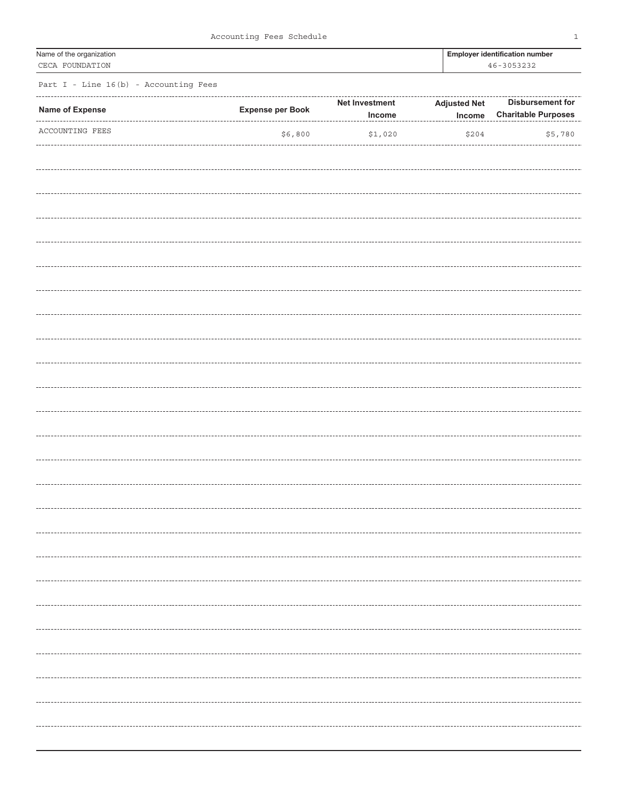|  | Accounting Fees Schedule |  |  |
|--|--------------------------|--|--|
|--|--------------------------|--|--|

1

| Name of the organization<br>CECA FOUNDATION |                         | <b>Employer identification number</b><br>46-3053232 |                               |                                                       |
|---------------------------------------------|-------------------------|-----------------------------------------------------|-------------------------------|-------------------------------------------------------|
| Part I - Line 16(b) - Accounting Fees       |                         |                                                     |                               |                                                       |
| Name of Expense                             | <b>Expense per Book</b> | Net Investment<br>Income                            | <b>Adjusted Net</b><br>Income | <b>Disbursement for</b><br><b>Charitable Purposes</b> |
| ACCOUNTING FEES                             | \$6,800                 | \$1,020                                             | \$204                         | \$5,780                                               |
|                                             |                         |                                                     |                               |                                                       |
|                                             |                         |                                                     |                               |                                                       |
|                                             |                         |                                                     |                               |                                                       |
|                                             |                         |                                                     |                               |                                                       |
|                                             |                         |                                                     |                               |                                                       |
|                                             |                         |                                                     |                               |                                                       |
|                                             |                         |                                                     |                               |                                                       |
|                                             |                         |                                                     |                               |                                                       |
|                                             |                         |                                                     |                               |                                                       |
|                                             |                         |                                                     |                               |                                                       |
|                                             |                         |                                                     |                               |                                                       |
|                                             |                         |                                                     |                               |                                                       |
|                                             |                         |                                                     |                               |                                                       |
|                                             |                         |                                                     |                               |                                                       |
|                                             |                         |                                                     |                               |                                                       |
|                                             |                         |                                                     |                               | -------                                               |
|                                             |                         |                                                     |                               |                                                       |
|                                             |                         |                                                     |                               |                                                       |
|                                             |                         |                                                     |                               |                                                       |
|                                             |                         |                                                     |                               |                                                       |
|                                             |                         |                                                     |                               |                                                       |
|                                             |                         |                                                     |                               | ----------                                            |
|                                             |                         |                                                     |                               |                                                       |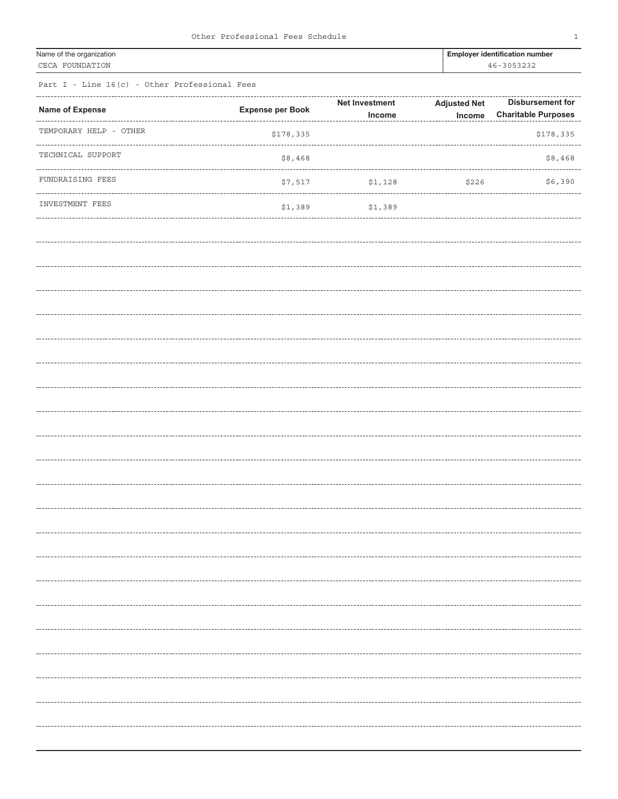| Other Professional Fees Schedule |  |  |
|----------------------------------|--|--|
|----------------------------------|--|--|

| Name of the organization | <b>Employer identification nun</b> |
|--------------------------|------------------------------------|
| CECA FOUNDATION          | 46-3053232                         |

Employer identification number

Part I - Line 16(c) - Other Professional Fees

| <b>Name of Expense</b> | <b>Expense per Book</b> | Net Investment | <b>Adjusted Net</b> | <b>Disbursement for</b>    |
|------------------------|-------------------------|----------------|---------------------|----------------------------|
|                        |                         | Income         | Income              | <b>Charitable Purposes</b> |
| TEMPORARY HELP - OTHER | \$178,335               |                |                     | \$178,335                  |
| TECHNICAL SUPPORT      | \$8,468                 |                |                     | \$8,468                    |
| FUNDRAISING FEES       | \$7,517                 | \$1,128        | \$226               | \$6,390                    |
| INVESTMENT FEES        | \$1,389                 | \$1,389        |                     |                            |
|                        |                         |                |                     |                            |
|                        |                         |                |                     |                            |
|                        |                         |                |                     |                            |
|                        |                         |                |                     |                            |
|                        |                         |                |                     |                            |
|                        |                         |                |                     |                            |
|                        |                         |                |                     |                            |
|                        |                         |                |                     |                            |
|                        |                         |                |                     |                            |
|                        |                         |                |                     |                            |
|                        |                         |                |                     |                            |
|                        |                         |                |                     |                            |
|                        |                         |                |                     |                            |
|                        |                         |                |                     |                            |
|                        |                         |                |                     |                            |
|                        |                         |                |                     | --------------------       |
|                        |                         |                |                     |                            |
|                        |                         |                |                     |                            |
|                        |                         |                |                     |                            |
|                        |                         |                |                     |                            |
|                        |                         |                |                     |                            |
|                        |                         |                |                     |                            |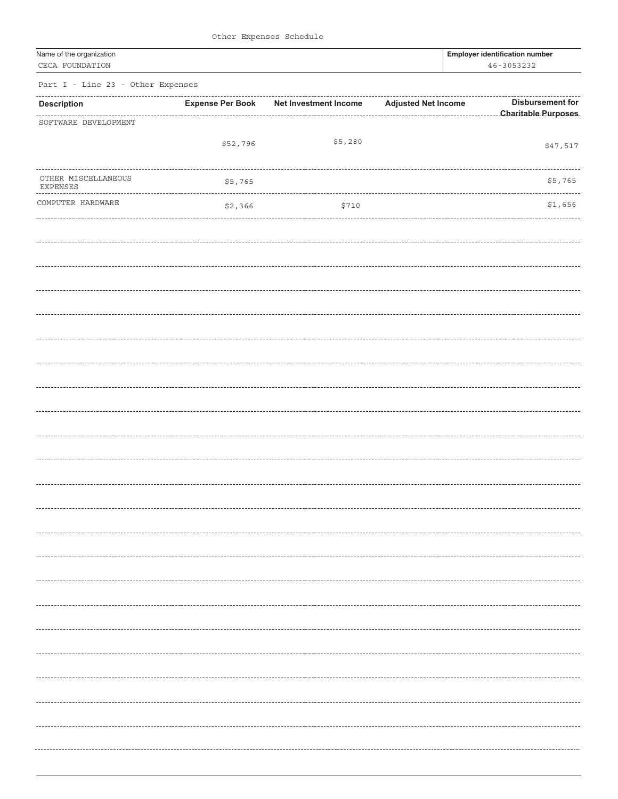|  | Other Expenses Schedule |  |
|--|-------------------------|--|
|--|-------------------------|--|

| Name of the organization<br>CECA FOUNDATION |                         |                       |                            | <b>Employer identification number</b><br>46-3053232 |                         |  |
|---------------------------------------------|-------------------------|-----------------------|----------------------------|-----------------------------------------------------|-------------------------|--|
| Part I - Line 23 - Other Expenses           |                         |                       |                            |                                                     |                         |  |
| <b>Description</b>                          | <b>Expense Per Book</b> | Net Investment Income | <b>Adjusted Net Income</b> |                                                     | <b>Disbursement for</b> |  |
| SOFTWARE DEVELOPMENT                        |                         |                       |                            |                                                     |                         |  |
|                                             | \$52,796                | \$5,280               |                            |                                                     | \$47,517                |  |
| OTHER MISCELLANEOUS<br><b>EXPENSES</b>      | \$5,765                 |                       |                            |                                                     | \$5,765                 |  |
| COMPUTER HARDWARE                           | \$2,366                 | \$710                 |                            |                                                     | \$1,656                 |  |
|                                             |                         |                       |                            |                                                     |                         |  |
|                                             |                         |                       |                            |                                                     |                         |  |
|                                             |                         |                       |                            |                                                     |                         |  |
|                                             |                         |                       |                            |                                                     |                         |  |
|                                             |                         |                       |                            |                                                     |                         |  |
|                                             |                         |                       |                            |                                                     |                         |  |
|                                             |                         |                       |                            |                                                     |                         |  |
|                                             |                         |                       |                            |                                                     |                         |  |
|                                             |                         |                       |                            |                                                     |                         |  |
|                                             |                         |                       |                            |                                                     |                         |  |
|                                             |                         |                       |                            |                                                     |                         |  |
|                                             |                         |                       |                            |                                                     |                         |  |
|                                             |                         |                       |                            |                                                     |                         |  |
|                                             |                         |                       |                            |                                                     |                         |  |
|                                             |                         |                       |                            |                                                     |                         |  |
|                                             |                         |                       |                            |                                                     |                         |  |
|                                             |                         |                       |                            |                                                     |                         |  |
|                                             |                         |                       |                            |                                                     |                         |  |
|                                             |                         |                       |                            |                                                     |                         |  |
|                                             |                         |                       |                            |                                                     |                         |  |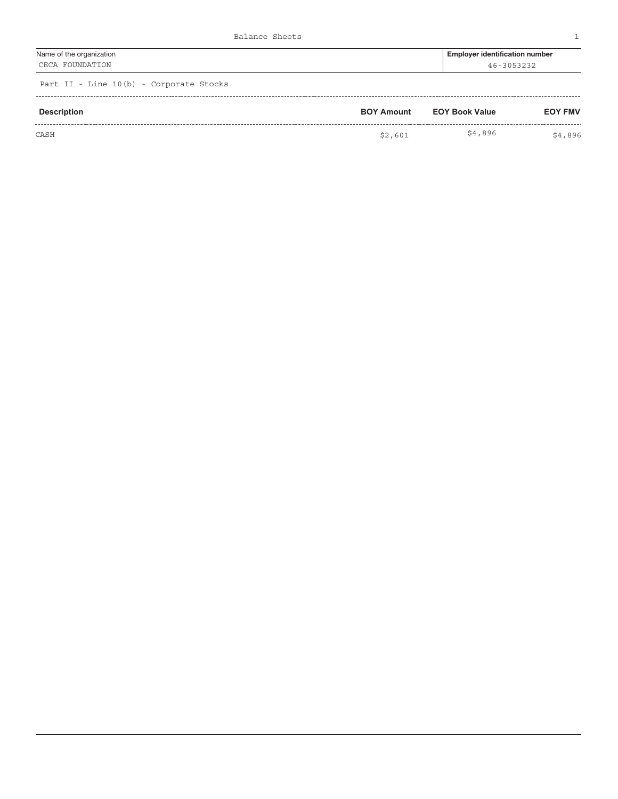| Name of the organization  | <b>Employer identification number</b> |
|---------------------------|---------------------------------------|
| FOUNDATION<br><b>CECA</b> | $46 - 3053222$                        |
|                           |                                       |

| Description | <b>BOY Amount</b> | <b>EOY Book Value</b> | <b>EOY FMV</b> |
|-------------|-------------------|-----------------------|----------------|
| CASH        | \$2,601           | \$4,896               | \$4,896        |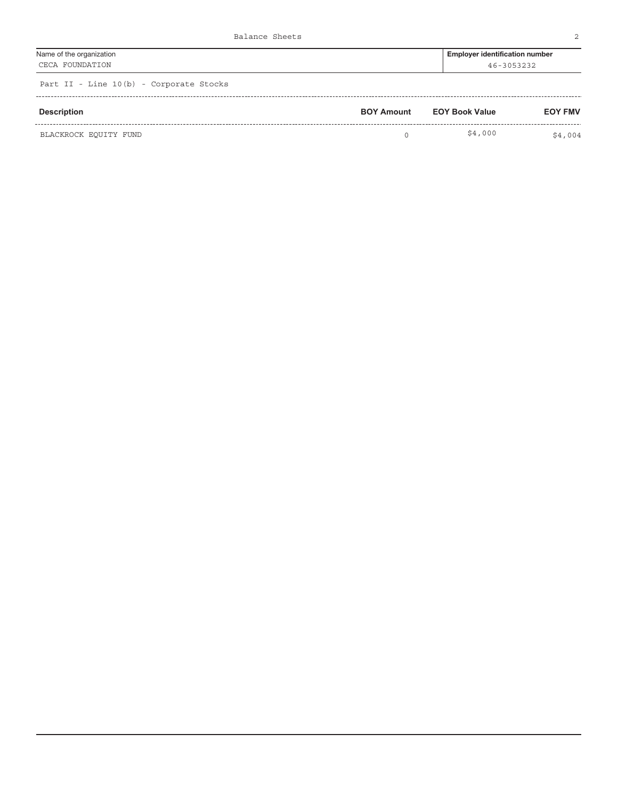| Name of the organization | <b>Employer identification number</b> |
|--------------------------|---------------------------------------|
| CECA FOUNDATION          | 46-3053232                            |
|                          |                                       |

| Description           | <b>BOY Amount</b> | <b>EOY Book Value</b> | <b>EOY FMV</b> |
|-----------------------|-------------------|-----------------------|----------------|
| BLACKROCK EQUITY FUND |                   | \$4,000               | \$4,004        |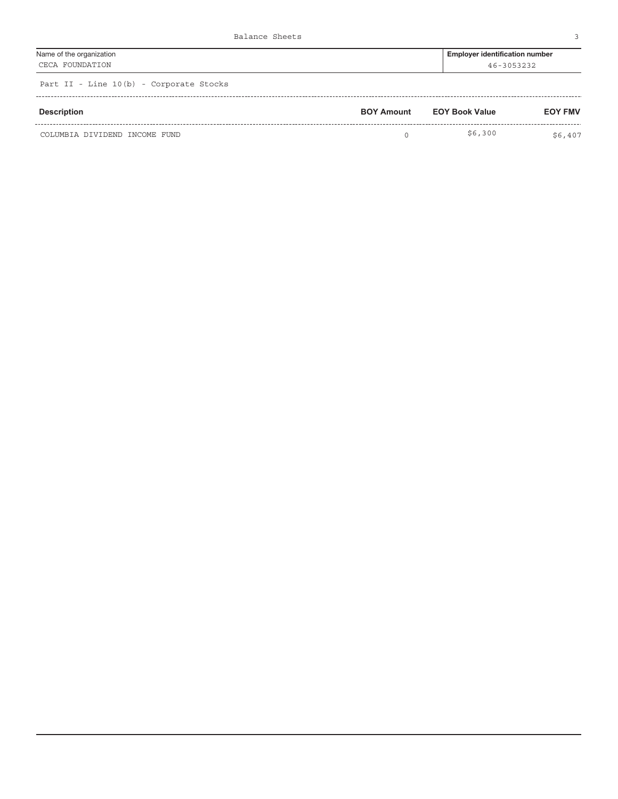| Name of the organization          | <b>Employer identification number</b> |
|-----------------------------------|---------------------------------------|
| CECA FOUNDATION                   | 46-3053232                            |
| Death TT The MORE Comments Office |                                       |

| Description                   | <b>BOY Amount</b> | <b>EOY Book Value</b> | <b>EOY FMV</b> |
|-------------------------------|-------------------|-----------------------|----------------|
| COLUMBIA DIVIDEND INCOME FUND |                   | \$6,300               | \$6,407        |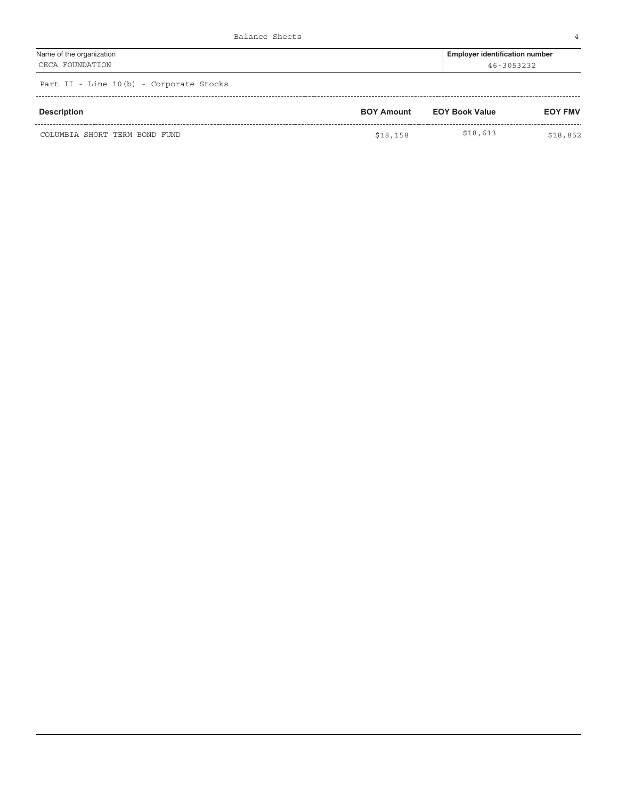| Name of the organization | Employer identification number |
|--------------------------|--------------------------------|
| CECA FOUNDATION          | 46-3053232                     |
|                          |                                |

| Description                   | <b>BOY Amount</b> | <b>EOY Book Value</b> | <b>EOY FMV</b> |
|-------------------------------|-------------------|-----------------------|----------------|
| COLUMBIA SHORT TERM BOND FUND | \$18,158          | \$18,613              | \$18,852       |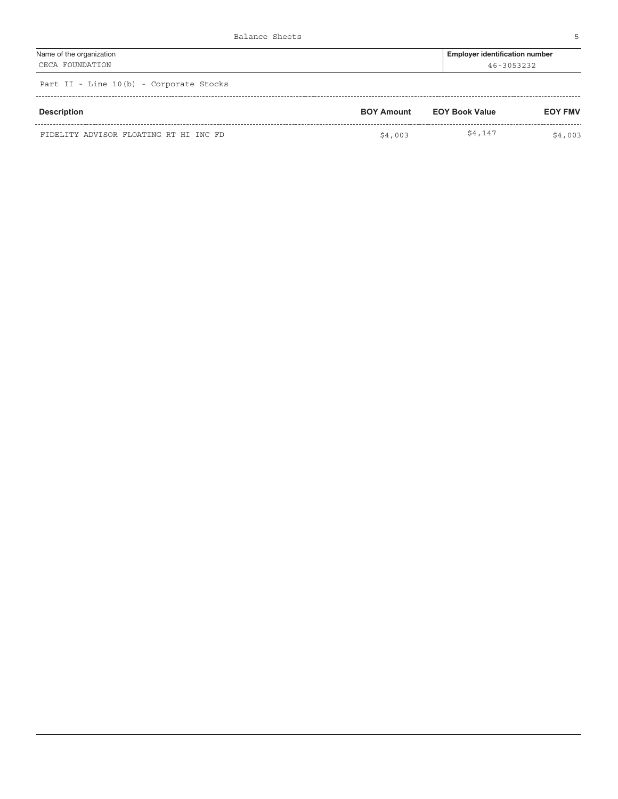| Name of the organization                | <b>Employer identification number</b> |
|-----------------------------------------|---------------------------------------|
| CECA FOUNDATION                         | 46-3053232                            |
| Part II - Line 10(b) - Corporate Stocks |                                       |

| <b>Description</b>                     | <b>BOY Amount</b> | <b>EOY Book Value</b> | <b>EOY FMV</b> |
|----------------------------------------|-------------------|-----------------------|----------------|
| FIDELITY ADVISOR FLOATING RT HI INC FD | \$4,003           | \$4,147               | \$4,003        |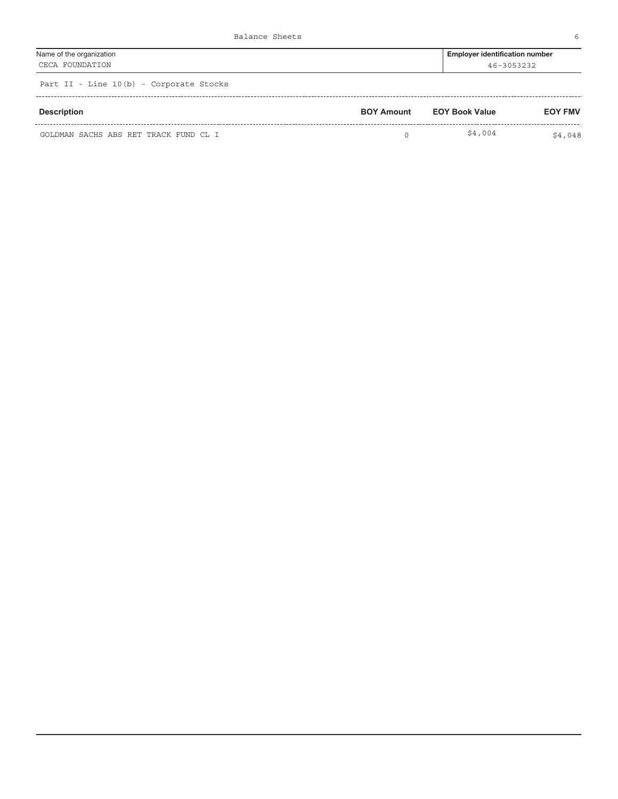| Name of the organization                | <b>Employer identification number</b> |
|-----------------------------------------|---------------------------------------|
| CECA FOUNDATION                         | 46-3053232                            |
| Part II - Line 10(b) - Corporate Stocks |                                       |

| <b>Description</b>                    | <b>BOY Amount</b> | EOY Book Value | <b>EOY FMV</b> |
|---------------------------------------|-------------------|----------------|----------------|
| GOLDMAN SACHS ABS RET TRACK FUND CL I |                   | \$4,004        | \$4,048        |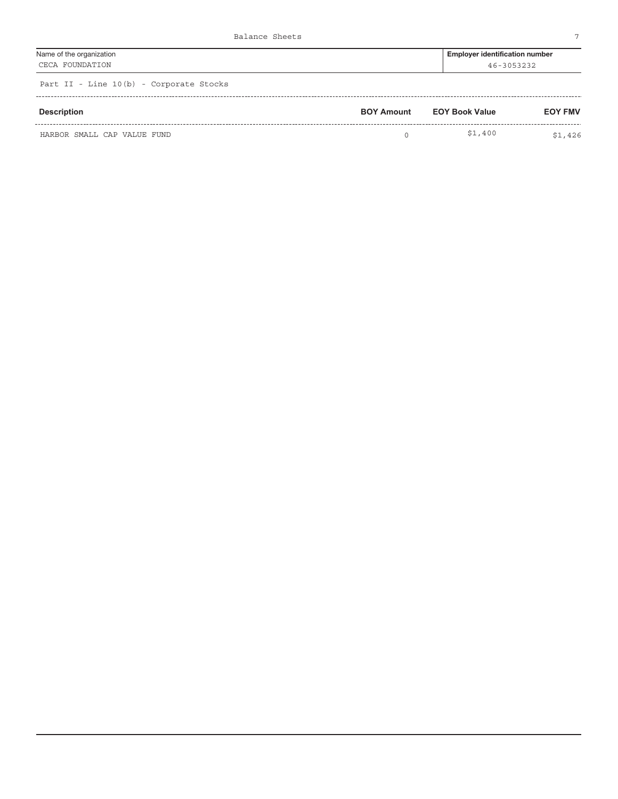| Name of the organization | <b>Employer identification number</b> |
|--------------------------|---------------------------------------|
| CECA FOUNDATION          | 46-3053232                            |

| Description                 | <b>BOY Amount</b> | <b>EOY Book Value</b> | <b>EOY FMV</b> |
|-----------------------------|-------------------|-----------------------|----------------|
| HARBOR SMALL CAP VALUE FUND |                   | \$1,400               | \$1,426        |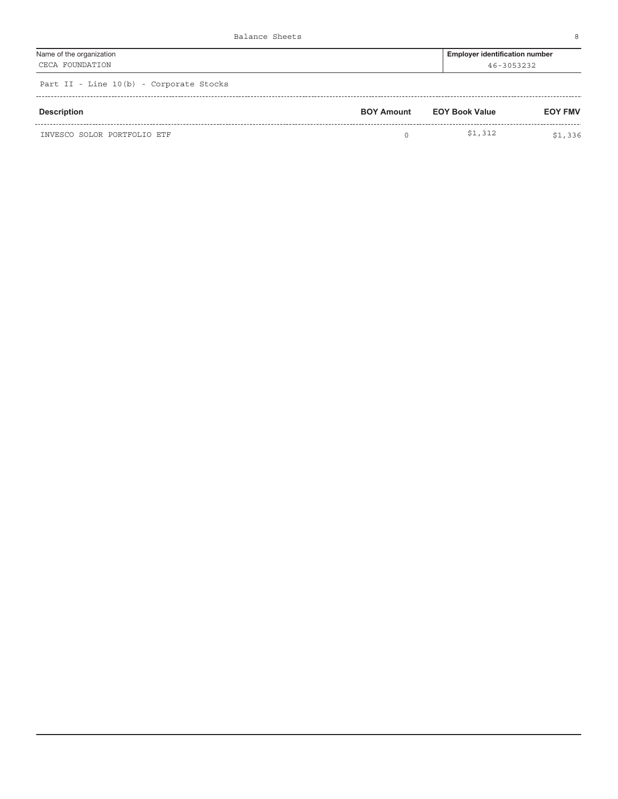| Name of the organization | Employer identification number |
|--------------------------|--------------------------------|
| CECA FOUNDATION          | 46-3053232                     |
|                          |                                |

| Description                 | <b>BOY Amount</b> | <b>EOY Book Value</b> | <b>EOY FMV</b> |
|-----------------------------|-------------------|-----------------------|----------------|
| INVESCO SOLOR PORTFOLIO ETF |                   | \$1,312               | \$1,336        |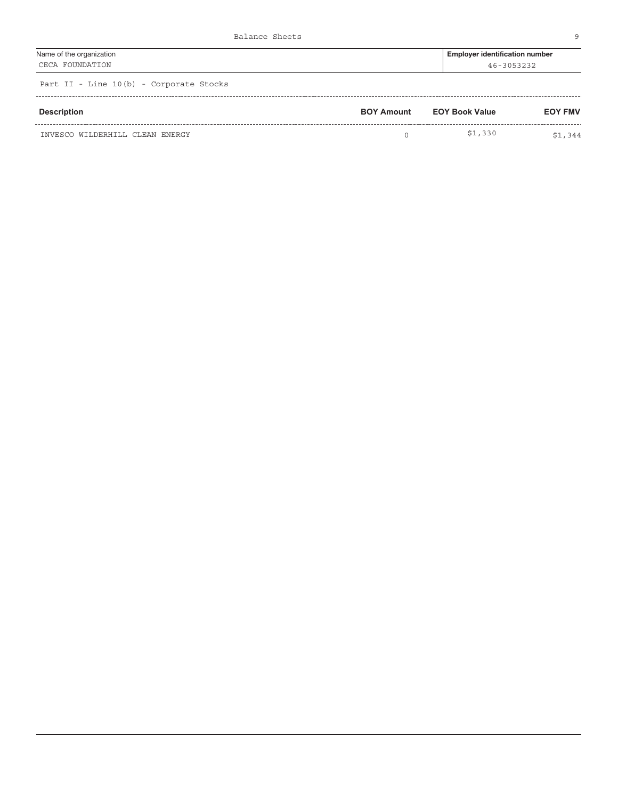| Name of the organization             | <b>Employer identification number</b> |
|--------------------------------------|---------------------------------------|
| CECA FOUNDATION                      | 46-3053232                            |
| Dent TT Time 10/h) Companies Chaples |                                       |

| Description                     | <b>BOY Amount</b> | <b>EOY Book Value</b> | <b>EOY FMV</b> |
|---------------------------------|-------------------|-----------------------|----------------|
| INVESCO WILDERHILL CLEAN ENERGY |                   | \$1,330               | \$1,344        |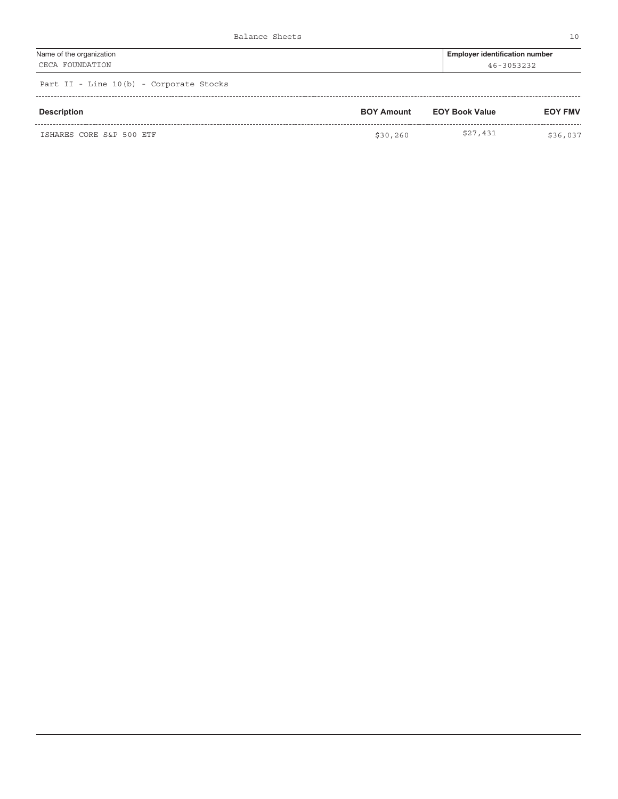| Name of the organization | <b>Employer identification number</b> |
|--------------------------|---------------------------------------|
| CECA FOUNDATION          | 46-3053232                            |
|                          |                                       |

| Description              | <b>BOY Amount</b> | <b>EOY Book Value</b> | <b>EOY FMV</b> |
|--------------------------|-------------------|-----------------------|----------------|
| ISHARES CORE S&P 500 ETF | \$30,260          | \$27,431              | \$36,037       |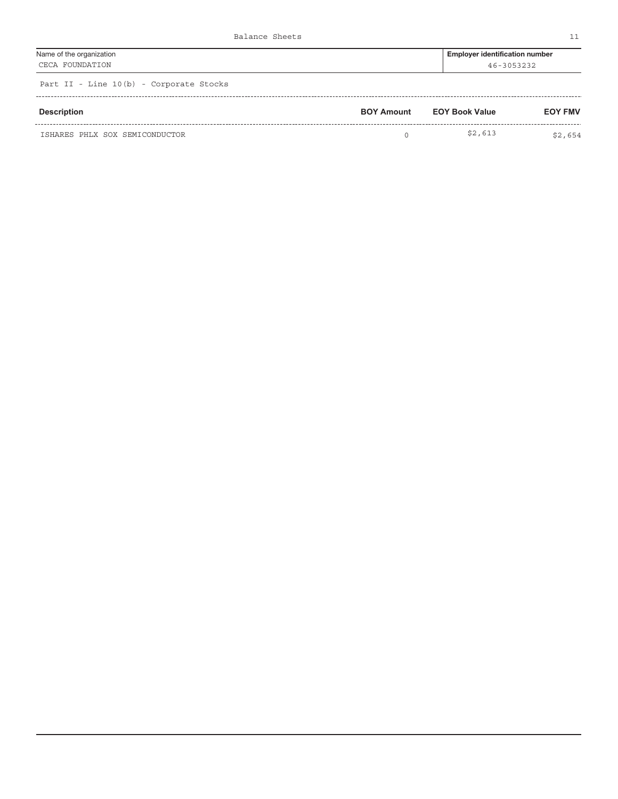| Name of the organization             | <b>Employer identification number</b> |
|--------------------------------------|---------------------------------------|
| CECA FOUNDATION                      | 46-3053232                            |
| Dent TT Time 10/b) Companies Chaples |                                       |

|  |  |  |  |  |  | Part II - Line 10(b) - Corporate Stocks |  |
|--|--|--|--|--|--|-----------------------------------------|--|
|--|--|--|--|--|--|-----------------------------------------|--|

| Description                    | <b>BOY Amount</b> | <b>EOY Book Value</b> | <b>EOY FMV</b> |  |
|--------------------------------|-------------------|-----------------------|----------------|--|
| ISHARES PHLX SOX SEMICONDUCTOR |                   | \$2,613               | \$2,654        |  |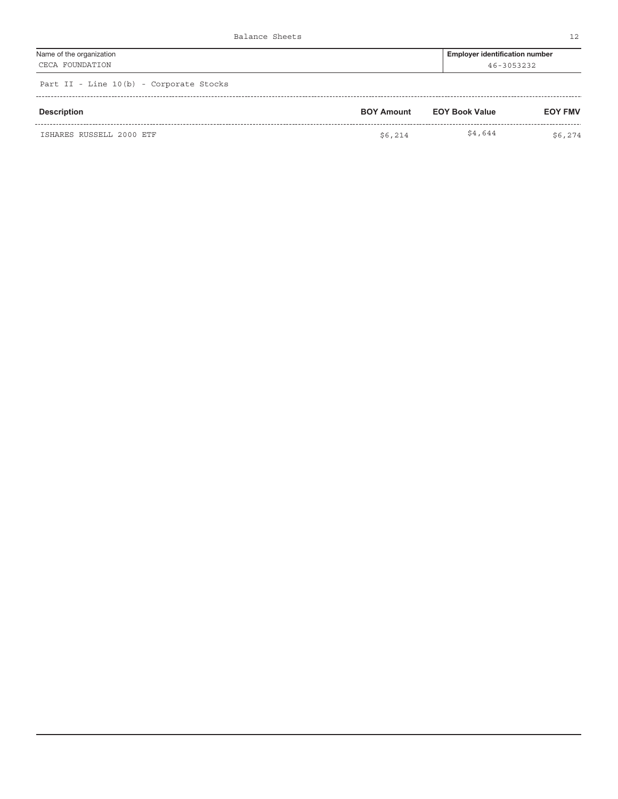| Name of the organization                                                                                        | <b>Employer identification number</b> |
|-----------------------------------------------------------------------------------------------------------------|---------------------------------------|
| CECA FOUNDATION                                                                                                 | 46-3053232                            |
| the contract of the contract of the contract of the contract of the contract of the contract of the contract of |                                       |

| Description              | <b>BOY Amount</b> | <b>EOY Book Value</b> | <b>EOY FMV</b> |  |
|--------------------------|-------------------|-----------------------|----------------|--|
| ISHARES RUSSELL 2000 ETF | \$6.214           | \$4,644               | \$6,274        |  |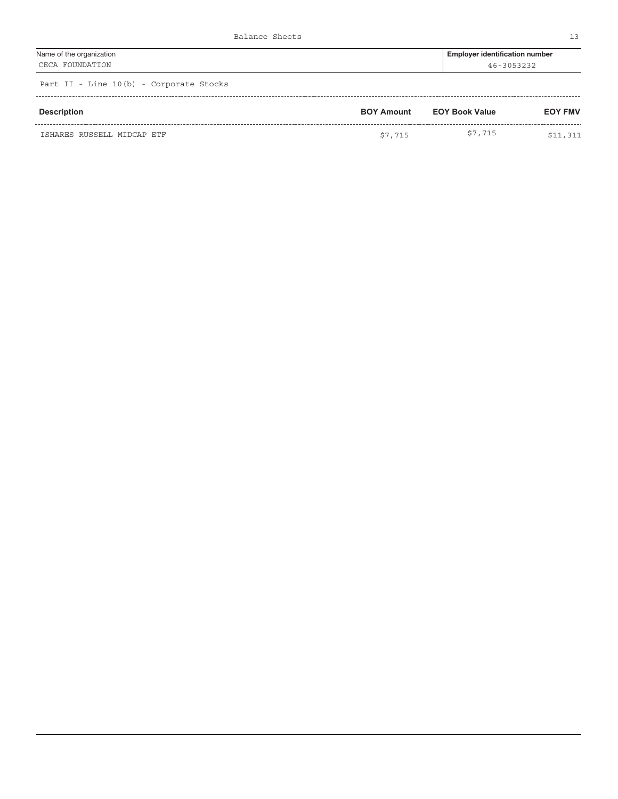| Name of the organization | Employer identification number |
|--------------------------|--------------------------------|
| CECA FOUNDATION          | 46-3053232                     |

| Description                | <b>BOY Amount</b> | <b>EOY Book Value</b> | <b>EOY FMV</b> |  |
|----------------------------|-------------------|-----------------------|----------------|--|
| ISHARES RUSSELL MIDCAP ETF | \$7,715           | \$7,715               | 511<br>311     |  |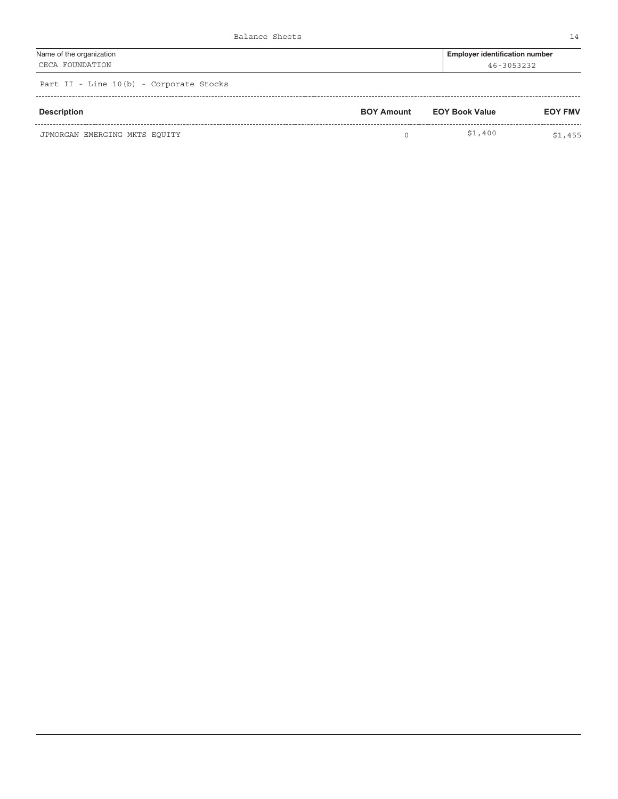| Name of the organization | <b>Employer identification number</b> |
|--------------------------|---------------------------------------|
| CECA FOUNDATION          | 46-3053232                            |
|                          |                                       |

| Description                   | <b>BOY Amount</b> | <b>EOY Book Value</b> | <b>EOY FMV</b> |
|-------------------------------|-------------------|-----------------------|----------------|
| JPMORGAN EMERGING MKTS EOUITY |                   | \$1,400               | \$1,455        |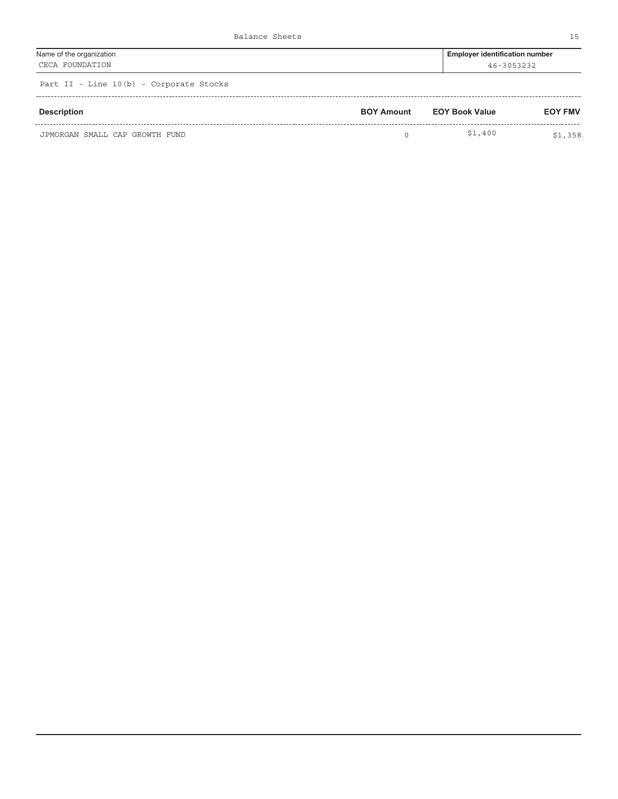| Name of the organization             | <b>Employer identification number</b> |
|--------------------------------------|---------------------------------------|
| CECA FOUNDATION                      | 46-3053232                            |
| Dent TT Time 10/b) Companies Chaples |                                       |

| <b>Description</b>             | <b>BOY Amount</b> | <b>EOY Book Value</b> | <b>EOY FMV</b> |
|--------------------------------|-------------------|-----------------------|----------------|
| JPMORGAN SMALL CAP GROWTH FUND |                   | \$1,400               | \$1,358        |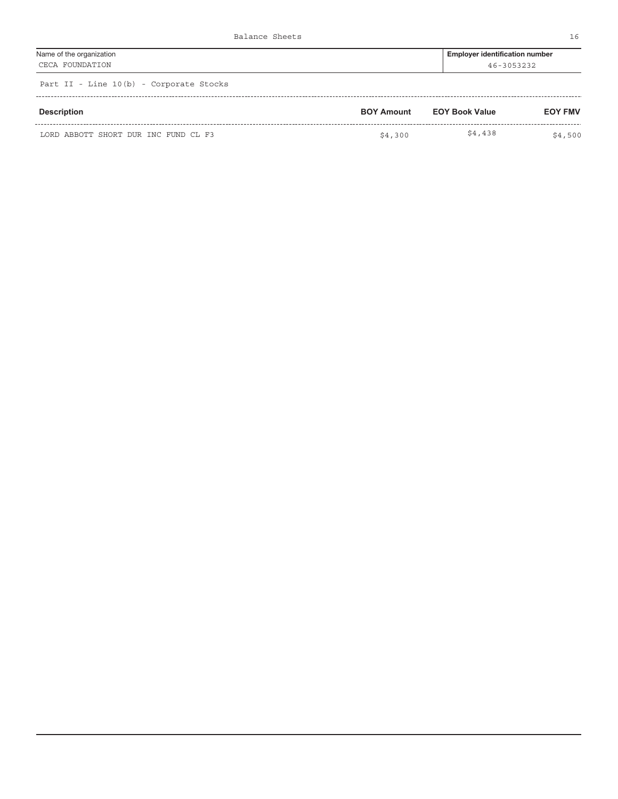| Name of the organization                | <b>Employer identification number</b> |
|-----------------------------------------|---------------------------------------|
| CECA FOUNDATION                         | 46-3053232                            |
| Part II - Line 10(b) - Corporate Stocks |                                       |

|  |  |  | FAIL II - DINC IV WAT - COIDOIALE DEOCAD |  |
|--|--|--|------------------------------------------|--|
|  |  |  |                                          |  |

| <b>Description</b>                   | <b>BOY Amount</b> | <b>EOY Book Value</b> | <b>EOY FMV</b> |
|--------------------------------------|-------------------|-----------------------|----------------|
| LORD ABBOTT SHORT DUR INC FUND CL F3 | \$4,300           | \$4,438               | \$4,500        |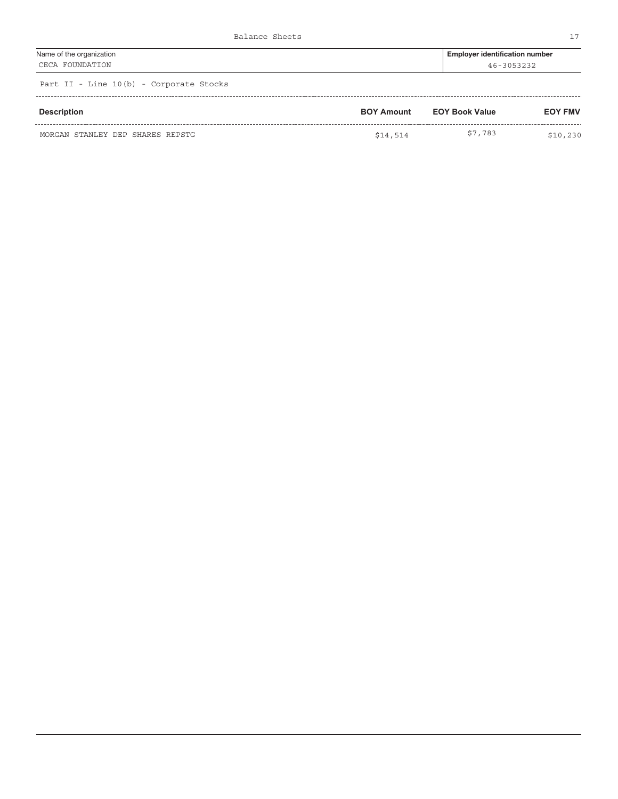| Name of the organization | <b>Employer identification number</b> |
|--------------------------|---------------------------------------|
| CECA FOUNDATION          | 46-3053232                            |

| Description                      | <b>BOY Amount</b> | <b>EOY Book Value</b> | <b>EOY FMV</b> |
|----------------------------------|-------------------|-----------------------|----------------|
| MORGAN STANLEY DEP SHARES REPSTG | \$14,514          | \$7,783               | \$10,230       |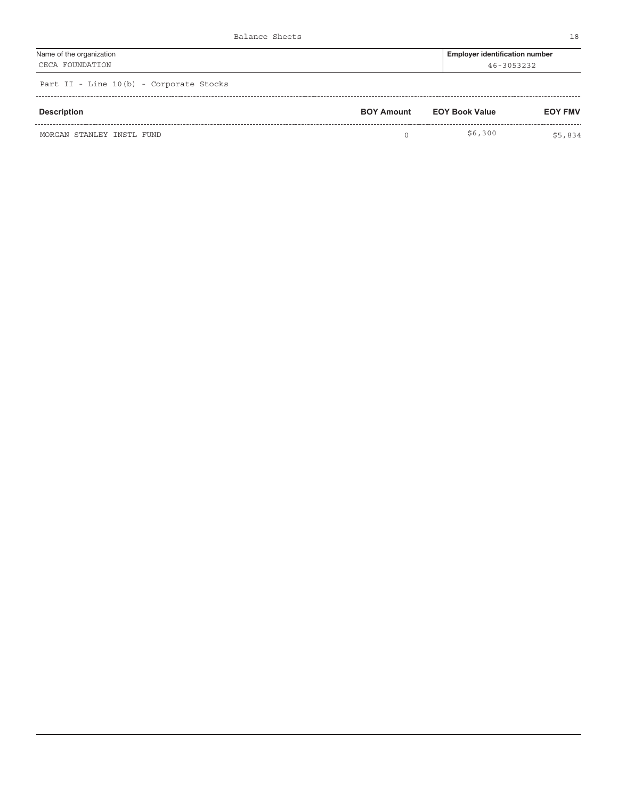| Name of the organization | <b>Employer identification number</b> |
|--------------------------|---------------------------------------|
| CECA FOUNDATION          | 46-3053232                            |

| Description               | <b>BOY Amount</b> | <b>EOY Book Value</b> | <b>EOY FMV</b> |
|---------------------------|-------------------|-----------------------|----------------|
| MORGAN STANLEY INSTL FUND |                   | \$6,300               | \$5,834        |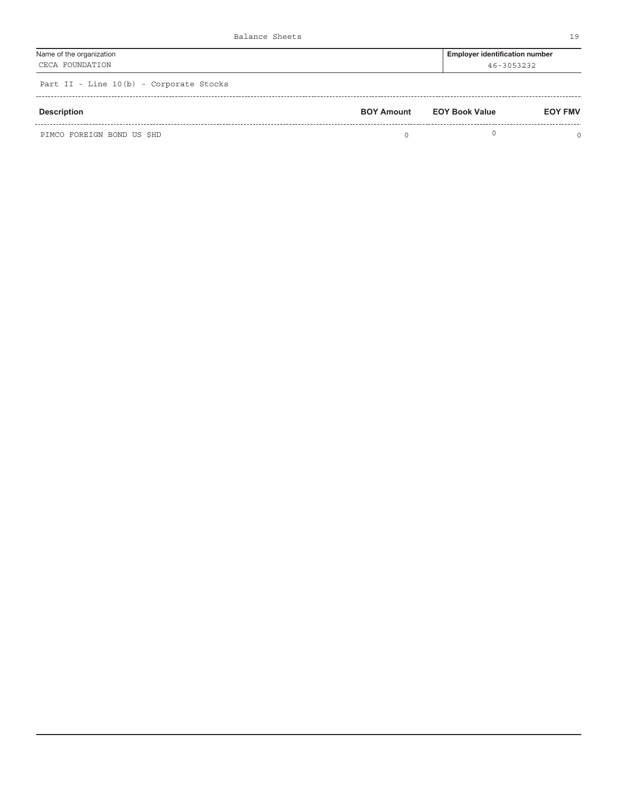| Name of the organization | <b>Employer identification number</b> |
|--------------------------|---------------------------------------|
| CECA FOUNDATION          | 46-3053232                            |
|                          |                                       |

| Description                | <b>BOY Amount</b> | <b>EOY Book Value</b> | <b>EOY FMV</b> |
|----------------------------|-------------------|-----------------------|----------------|
| PIMCO FOREIGN BOND US \$HD |                   |                       |                |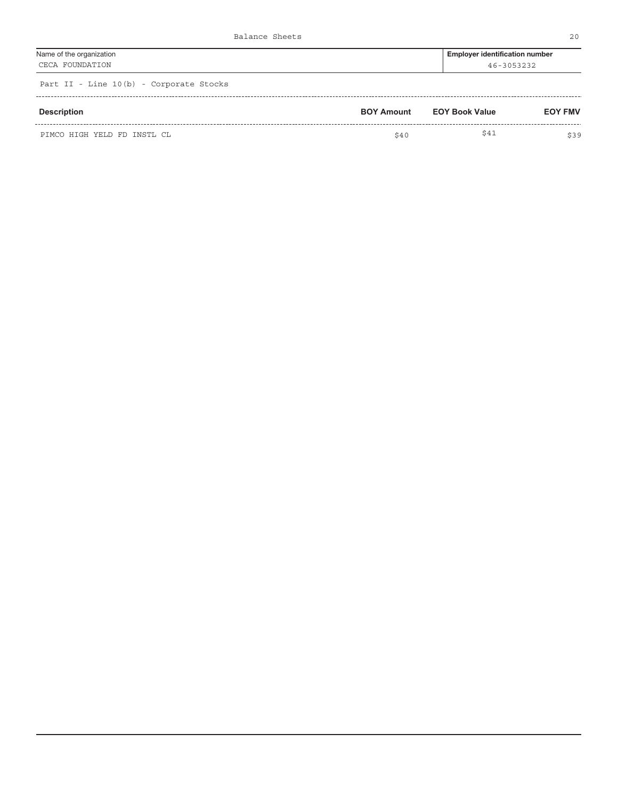| Name of the organization                | <b>Employer identification number</b> |
|-----------------------------------------|---------------------------------------|
| CECA FOUNDATION                         | 46-3053232                            |
| Part II - Line 10(b) - Corporate Stocks |                                       |

|  |  | ralt ii - mine 10(b) - corporate bioths |  |  |  |  |  |
|--|--|-----------------------------------------|--|--|--|--|--|
|  |  |                                         |  |  |  |  |  |
|  |  |                                         |  |  |  |  |  |

| <b>Description</b>          | <b>BOY Amount</b> | <b>EOY Book Value</b> | <b>EOY FMV</b> |
|-----------------------------|-------------------|-----------------------|----------------|
| PIMCO HIGH YELD FD INSTL CL | \$40              | \$41                  | \$39           |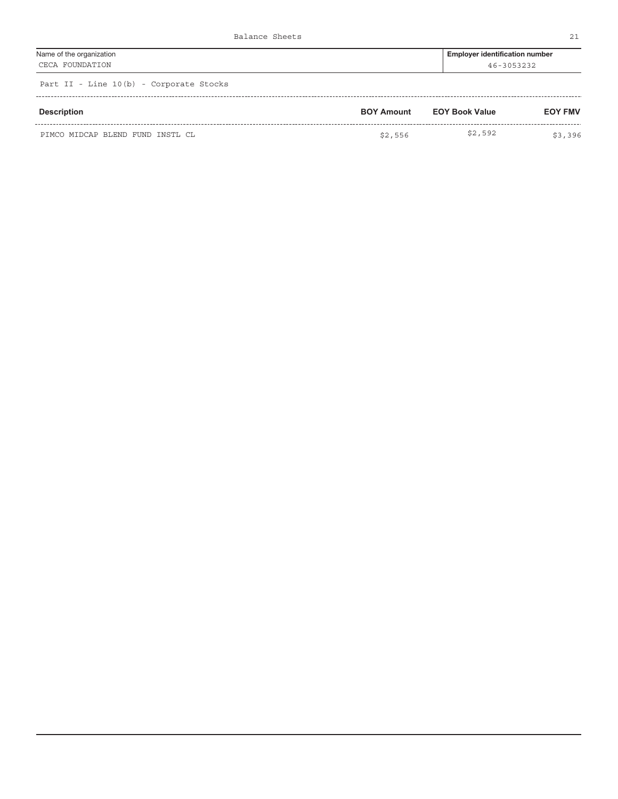| Name of the organization            | <b>Employer identification number</b> |
|-------------------------------------|---------------------------------------|
| CECA FOUNDATION                     | 46-3053232                            |
| Dart II Iine 10(b) Corporate Stocks |                                       |

| Description                      | <b>BOY Amount</b> | <b>EOY Book Value</b> | <b>EOY FMV</b> |
|----------------------------------|-------------------|-----------------------|----------------|
| PIMCO MIDCAP BLEND FUND INSTL CL | \$2,556           | \$2,592               | \$3,396        |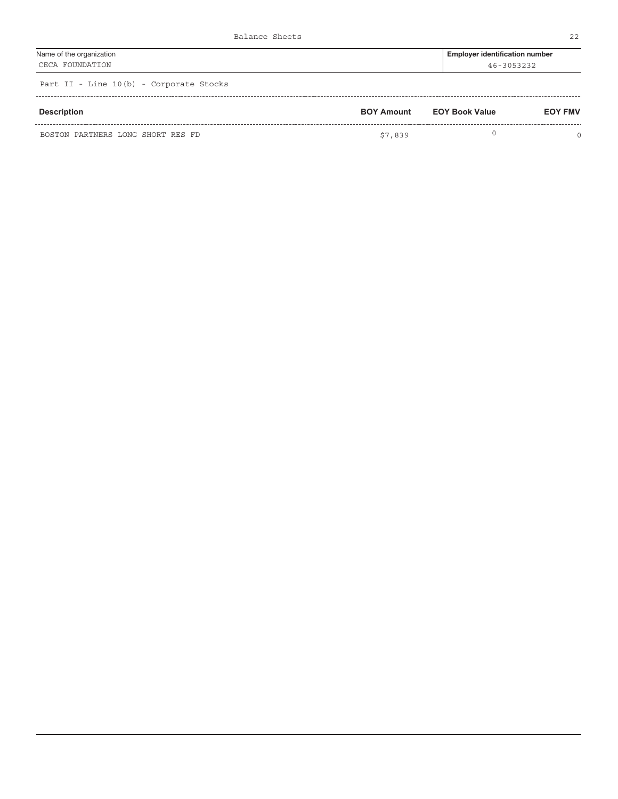| Name of the organization                | <b>Employer identification number</b> |
|-----------------------------------------|---------------------------------------|
| CECA FOUNDATION                         | 46-3053232                            |
| Part II - Line 10(b) - Corporate Stocks |                                       |

| <b>Description</b>                | <b>BOY Amount</b> | <b>EOY Book Value</b> | <b>EOY FMV</b> |
|-----------------------------------|-------------------|-----------------------|----------------|
| BOSTON PARTNERS LONG SHORT RES FD | \$7,839           |                       |                |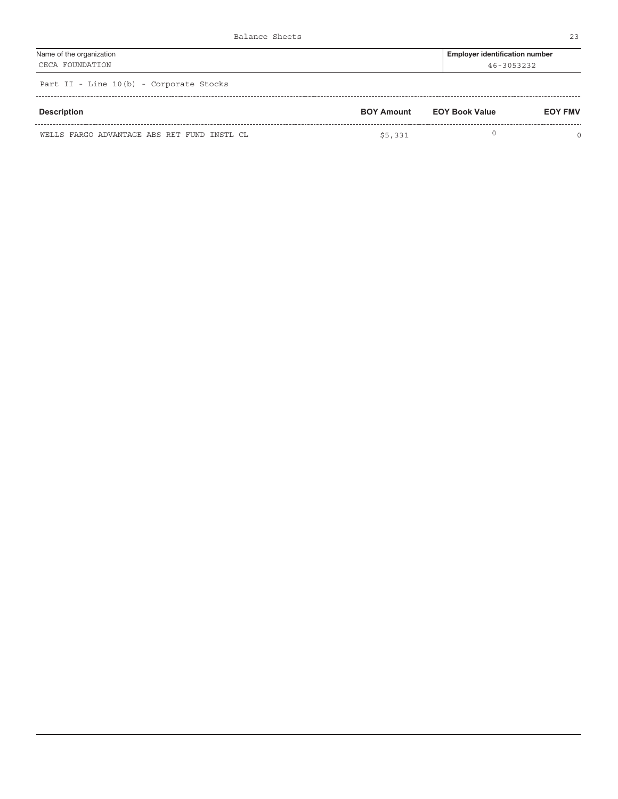| Name of the organization                | <b>Employer identification number</b> |
|-----------------------------------------|---------------------------------------|
| CECA FOUNDATION                         | 46-3053232                            |
| Part II - Line 10(b) - Corporate Stocks |                                       |

| <b>Description</b>                          | <b>BOY Amount</b> | <b>EOY Book Value</b> | <b>EOY FMV</b> |
|---------------------------------------------|-------------------|-----------------------|----------------|
| WELLS FARGO ADVANTAGE ABS RET FUND INSTL CL | \$5,331           |                       |                |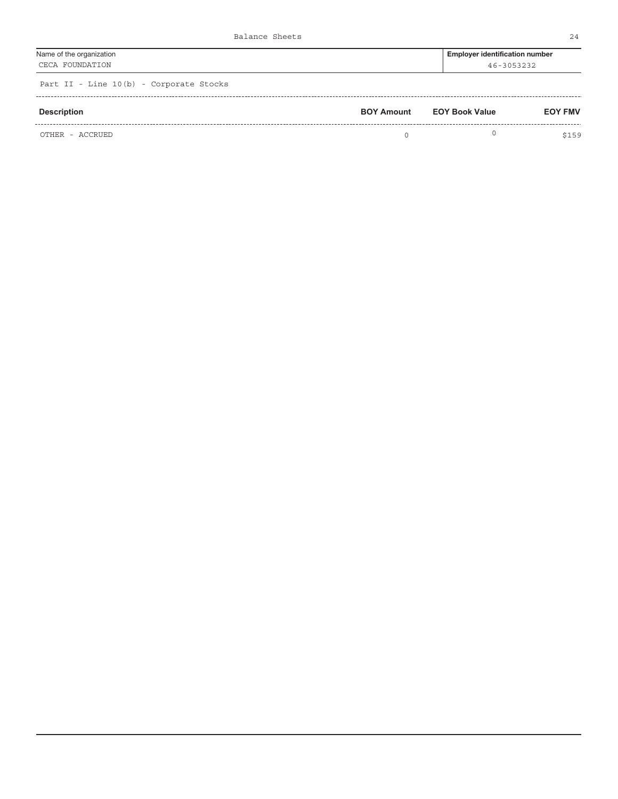| Name of the organization | Employer identification number |
|--------------------------|--------------------------------|
| CECA FOUNDATION          | 46-3053232                     |
|                          |                                |

| Description     | <b>BOY Amount</b> | <b>EOY Book Value</b> | <b>EOY FMV</b> |  |
|-----------------|-------------------|-----------------------|----------------|--|
| OTHER - ACCRUED |                   |                       | \$159          |  |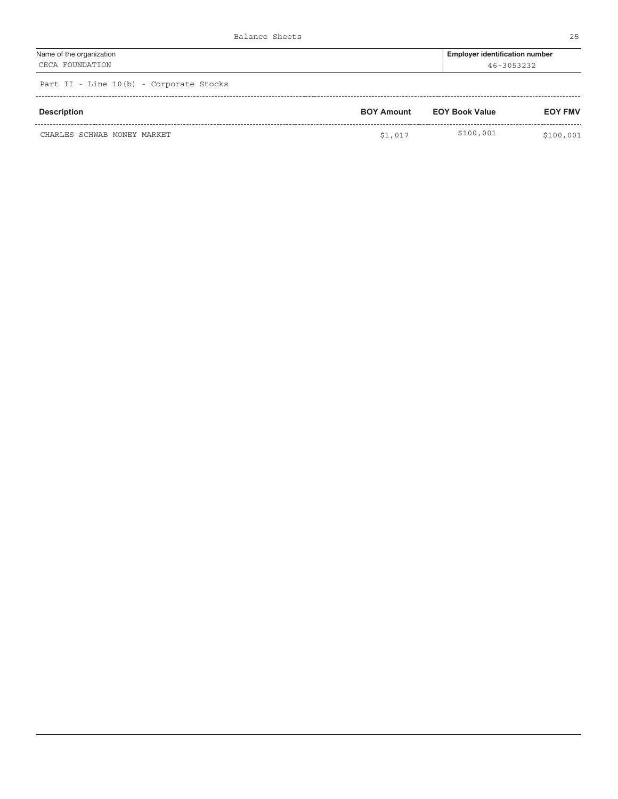| Name of the organization | <b>Employer identification number</b> |
|--------------------------|---------------------------------------|
| CECA FOUNDATION          | 46-3053232                            |
|                          |                                       |

| Description                 | <b>BOY Amount</b> | <b>EOY Book Value</b> | <b>EOY FMV</b> |  |
|-----------------------------|-------------------|-----------------------|----------------|--|
| CHARLES SCHWAB MONEY MARKET | \$1,017           | \$100,001             | \$100,001      |  |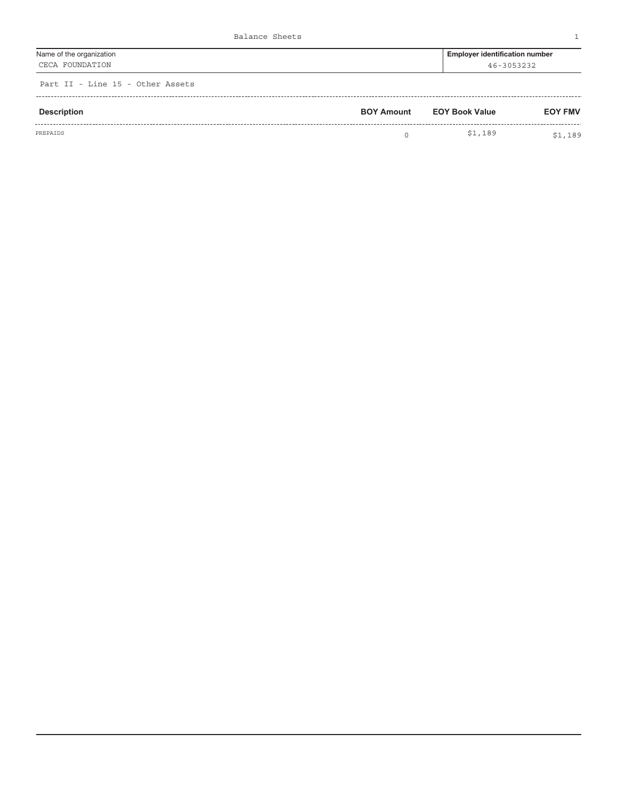| Name of the organization | <b>Employer identification number</b> |
|--------------------------|---------------------------------------|
| CECA FOUNDATION          | 46-3053232                            |

Part II - Line 15 - Other Assets

| Description | <b>BOY Amount</b> | <b>EOY Book Value</b> | <b>EOY FMV</b> |
|-------------|-------------------|-----------------------|----------------|
| PREPAIDS    |                   | \$1,189               | \$1,189        |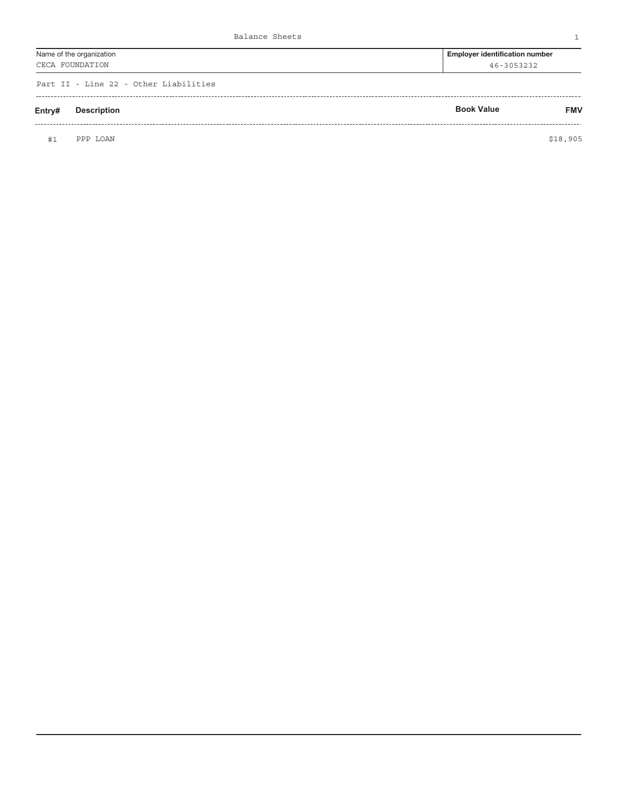| Name of the organization | <b>Employer identification number</b> |
|--------------------------|---------------------------------------|
| CECA FOUNDATION          | 46-3053232                            |
|                          |                                       |

Part II - Line 22 - Other Liabilities

| Entry# | <b>Description</b> | <b>Book Value</b> | <b>FMV</b> |
|--------|--------------------|-------------------|------------|
|        |                    |                   |            |

PPP LOAN \$18,905 #1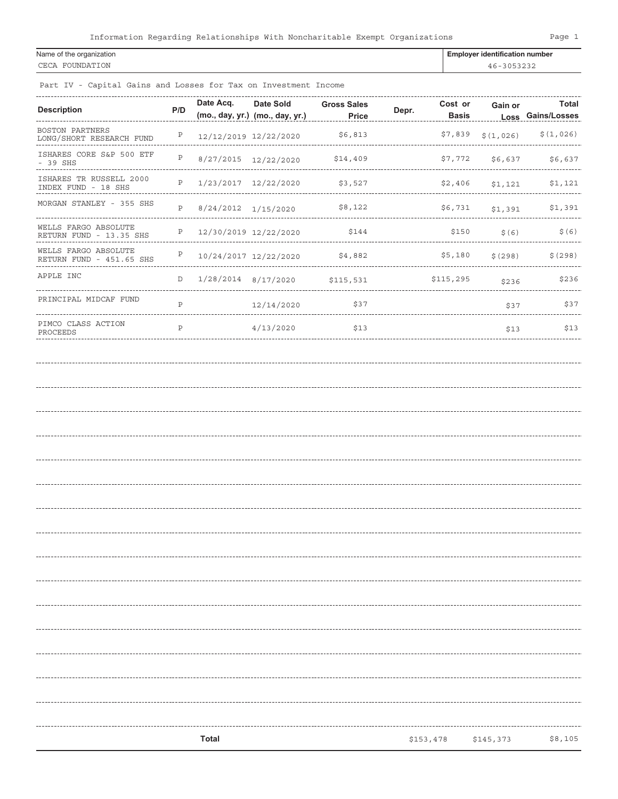### Name of the organization **Employer identification number**  $\blacksquare$ CECA FOUNDATION 46-3053232

Part IV - Capital Gains and Losses for Tax on Investment Income

| <b>Description</b>                               | P/D          | Date Acq.               | Date Sold<br>(mo., day, yr.) (mo., day, yr.) | <b>Gross Sales</b><br><b>Price</b> | Depr. | Cost or<br><b>Basis</b> | Gain or   | Total<br>Loss Gains/Losses |
|--------------------------------------------------|--------------|-------------------------|----------------------------------------------|------------------------------------|-------|-------------------------|-----------|----------------------------|
| BOSTON PARTNERS<br>LONG/SHORT RESEARCH FUND      | Ρ            | 12/12/2019 12/22/2020   |                                              | \$6,813                            |       | \$7,839                 | \$(1,026) | \$(1,026)                  |
| ISHARES CORE S&P 500 ETF<br>$-39$ SHS            | $\, {\bf P}$ | 8/27/2015 12/22/2020    |                                              | \$14,409                           |       | \$7,772                 | \$6,637   | \$6,637                    |
| ISHARES TR RUSSELL 2000<br>INDEX FUND - 18 SHS   | Ρ            | 1/23/2017 12/22/2020    |                                              | \$3,527                            |       | \$2,406                 | \$1,121   | \$1,121                    |
| MORGAN STANLEY - 355 SHS                         | P            | 8/24/2012 1/15/2020     |                                              | \$8,122                            |       | \$6,731                 | \$1,391   | \$1,391                    |
| WELLS FARGO ABSOLUTE<br>RETURN FUND - 13.35 SHS  | Ρ            | 12/30/2019 12/22/2020   |                                              | \$144                              |       | \$150                   | \$ (6)    | \$ (6)                     |
| WELLS FARGO ABSOLUTE<br>RETURN FUND - 451.65 SHS | Ρ            | 10/24/2017 12/22/2020   |                                              | \$4,882                            |       | \$5,180                 | \$(298)   | \$(298)                    |
| APPLE INC                                        | $\mathbb D$  | $1/28/2014$ $8/17/2020$ |                                              | \$115,531                          |       | \$115,295               | \$236     | \$236                      |
| PRINCIPAL MIDCAF FUND                            | $\mathsf{P}$ |                         | 12/14/2020                                   | \$37<br>--------------------       |       |                         | \$37      | \$37                       |
| PIMCO CLASS ACTION<br>PROCEEDS                   | P            |                         | 4/13/2020                                    | \$13                               |       |                         | \$13      | \$13                       |
|                                                  |              |                         |                                              |                                    |       |                         |           |                            |
|                                                  |              |                         |                                              |                                    |       |                         |           |                            |
|                                                  |              |                         |                                              |                                    |       |                         |           |                            |
|                                                  |              |                         |                                              |                                    |       |                         |           |                            |
|                                                  |              |                         |                                              |                                    |       |                         |           |                            |
|                                                  |              |                         |                                              |                                    |       |                         |           |                            |
|                                                  |              |                         |                                              |                                    |       |                         |           |                            |
|                                                  |              |                         |                                              |                                    |       |                         |           |                            |
|                                                  |              |                         |                                              |                                    |       |                         |           |                            |
|                                                  |              |                         |                                              |                                    |       |                         |           |                            |
|                                                  |              |                         |                                              |                                    |       |                         |           |                            |
|                                                  |              |                         |                                              |                                    |       |                         |           |                            |
|                                                  |              |                         |                                              |                                    |       |                         |           |                            |
|                                                  |              |                         |                                              |                                    |       |                         |           |                            |
|                                                  |              |                         |                                              |                                    |       |                         |           |                            |
|                                                  |              |                         |                                              |                                    |       |                         |           |                            |
|                                                  |              |                         |                                              |                                    |       |                         |           |                            |
|                                                  |              | Total                   |                                              |                                    |       | \$153,478               | \$145,373 | \$8,105                    |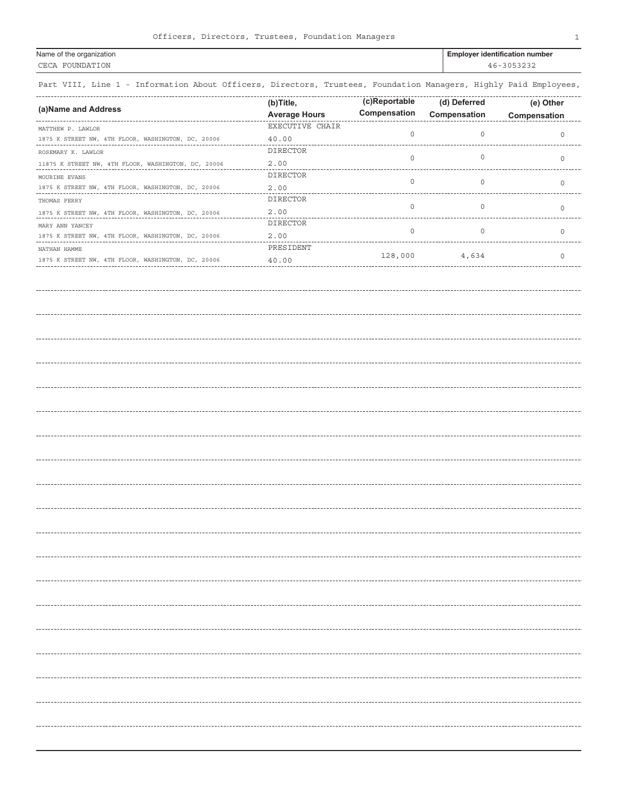| Name of the organization                                                                                         | <b>Employer identification number</b> |  |  |
|------------------------------------------------------------------------------------------------------------------|---------------------------------------|--|--|
| CECA FOUNDATION                                                                                                  | 46-3053232                            |  |  |
| Part VIII, Line 1 - Information About Officers, Directors, Trustees, Foundation Managers, Highly Paid Employees, |                                       |  |  |

|                                                     | (b)Title,            | (c)Reportable | (d) Deferred | (e) Other           |
|-----------------------------------------------------|----------------------|---------------|--------------|---------------------|
| (a) Name and Address                                | <b>Average Hours</b> | Compensation  | Compensation | Compensation        |
| MATTHEW P. LAWLOR                                   | EXECUTIVE CHAIR      |               |              |                     |
| 1875 K STREET NW, 4TH FLOOR, WASHINGTON, DC, 20006  | $40.00\,$            | $\mathbb O$   | 0            | $\circ$             |
| ROSEMARY K. LAWLOR                                  | <b>DIRECTOR</b>      |               | 0            |                     |
| 11875 K STREET NW, 4TH FLOOR, WASHINGTON, DC, 20006 | $2\,.\,0\,0$         | 0             |              | $\mathsf{O}\xspace$ |
| MOURINE EVANS                                       | DIRECTOR             | 0             | 0            |                     |
| 1875 K STREET NW, 4TH FLOOR, WASHINGTON, DC, 20006  | $2\,.\,00$           |               |              | $\circ$             |
| THOMAS FERRY                                        | DIRECTOR             |               |              |                     |
| 1875 K STREET NW, 4TH FLOOR, WASHINGTON, DC, 20006  | $2\,.\,00$           | 0             | 0            | 0                   |
| MARY ANN YANCEY                                     | DIRECTOR             |               |              |                     |
| 1875 K STREET NW, 4TH FLOOR, WASHINGTON, DC, 20006  | 2.00                 | 0             | 0            | $\circ$             |
| NATHAN HAMME                                        | PRESIDENT            |               |              |                     |
| 1875 K STREET NW, 4TH FLOOR, WASHINGTON, DC, 20006  | 40.00                | 128,000       | 4,634        | $\circ$             |
|                                                     |                      |               |              |                     |
|                                                     |                      |               |              |                     |
|                                                     |                      |               |              |                     |
|                                                     |                      |               |              |                     |
|                                                     |                      |               |              |                     |
|                                                     |                      |               |              |                     |
|                                                     |                      |               |              |                     |
|                                                     |                      |               |              |                     |
|                                                     |                      |               |              |                     |
|                                                     |                      |               |              |                     |
|                                                     |                      |               |              |                     |
|                                                     |                      |               |              |                     |
|                                                     |                      |               |              |                     |
|                                                     |                      |               |              |                     |
|                                                     |                      |               |              |                     |
|                                                     |                      |               |              |                     |
|                                                     |                      |               |              |                     |
|                                                     |                      |               |              |                     |
|                                                     |                      |               |              |                     |
|                                                     |                      |               |              |                     |
|                                                     |                      |               |              |                     |
|                                                     |                      |               |              |                     |
|                                                     |                      |               |              |                     |
|                                                     |                      |               |              |                     |
|                                                     |                      |               |              |                     |
|                                                     |                      |               |              |                     |
|                                                     |                      |               |              |                     |
|                                                     |                      |               |              |                     |
|                                                     |                      |               |              |                     |
|                                                     |                      |               |              |                     |
|                                                     |                      |               |              |                     |
|                                                     |                      |               |              |                     |
|                                                     |                      |               |              |                     |
|                                                     |                      |               |              |                     |
|                                                     |                      |               |              |                     |
|                                                     |                      |               |              |                     |
|                                                     |                      |               |              |                     |
|                                                     |                      |               |              |                     |
|                                                     |                      |               |              |                     |
|                                                     |                      |               |              |                     |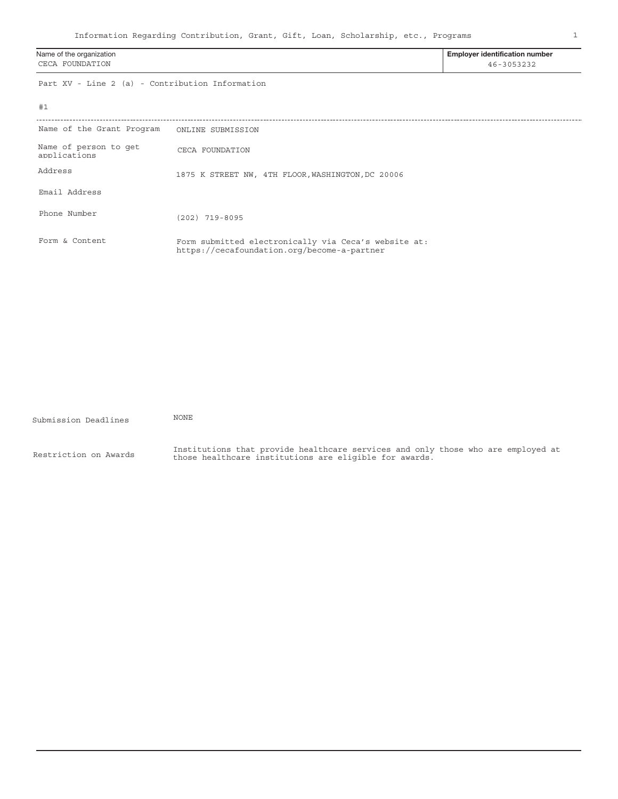1

| Name of the organization<br>CECA FOUNDATION     |                                                                                                     | <b>Employer identification number</b><br>46-3053232 |  |
|-------------------------------------------------|-----------------------------------------------------------------------------------------------------|-----------------------------------------------------|--|
| Part XV - Line 2 (a) - Contribution Information |                                                                                                     |                                                     |  |
| #1                                              |                                                                                                     |                                                     |  |
| Name of the Grant Program                       | ONLINE SUBMISSION                                                                                   |                                                     |  |
| Name of person to get<br>applications           | CECA FOUNDATION                                                                                     |                                                     |  |
| Address                                         | 1875 K STREET NW, 4TH FLOOR, WASHINGTON, DC 20006                                                   |                                                     |  |
| Email Address                                   |                                                                                                     |                                                     |  |
| Phone Number                                    | $(202)$ 719-8095                                                                                    |                                                     |  |
| Form & Content                                  | Form submitted electronically via Ceca's website at:<br>https://cecafoundation.org/become-a-partner |                                                     |  |

| Submission Deadlines  | <b>NONE</b>                                                                                                                                |
|-----------------------|--------------------------------------------------------------------------------------------------------------------------------------------|
| Restriction on Awards | Institutions that provide healthcare services and only those who are employed at<br>those healthcare institutions are eligible for awards. |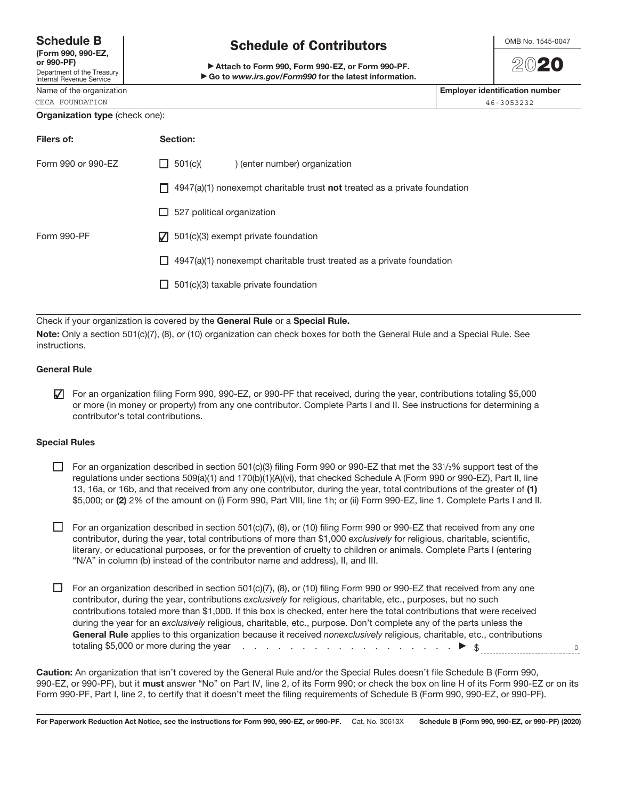| <b>Schedule B</b> |  |
|-------------------|--|
|-------------------|--|

| (Form 990, 990-EZ,<br>or 990-PF)                              |  |
|---------------------------------------------------------------|--|
| Department of the Treasury<br><b>Internal Revenue Service</b> |  |

# CECA FOUNDATION 46-3053232

## Schedule of Contributors

Attach to Form 990, Form 990-EZ, or Form 990-PF.  $\blacktriangleright$  Go to www.irs.gov/Form990 for the latest information.



2020

Name of the organization **Employer identification number**  $\blacksquare$ 

#### Organization type (check one):

| Filers of:         | Section:                                                                          |
|--------------------|-----------------------------------------------------------------------------------|
| Form 990 or 990-EZ | $\Box$ 501(c)(<br>) (enter number) organization                                   |
|                    | $\Box$ 4947(a)(1) nonexempt charitable trust not treated as a private foundation  |
|                    | 527 political organization<br>LТ                                                  |
| Form 990-PF        | $\sqrt{ }$ 501(c)(3) exempt private foundation                                    |
|                    | $4947(a)(1)$ nonexempt charitable trust treated as a private foundation<br>$\Box$ |
|                    | $\Box$ 501(c)(3) taxable private foundation                                       |
|                    |                                                                                   |

Check if your organization is covered by the General Rule or a Special Rule.

Note: Only a section 501(c)(7), (8), or (10) organization can check boxes for both the General Rule and a Special Rule. See instructions.

### General Rule

For an organization filing Form 990, 990-EZ, or 990-PF that received, during the year, contributions totaling \$5,000 ✔ or more (in money or property) from any one contributor. Complete Parts I and II. See instructions for determining a contributor's total contributions.

### Special Rules

For an organization described in section 501(c)(3) filing Form 990 or 990-EZ that met the 33<sup>1</sup> /3% support test of the regulations under sections 509(a)(1) and 170(b)(1)(A)(vi), that checked Schedule A (Form 990 or 990-EZ), Part II, line 13, 16a, or 16b, and that received from any one contributor, during the year, total contributions of the greater of (1) \$5,000; or (2) 2% of the amount on (i) Form 990, Part VIII, line 1h; or (ii) Form 990-EZ, line 1. Complete Parts I and II.

For an organization described in section 501(c)(7), (8), or (10) filing Form 990 or 990-EZ that received from any one contributor, during the year, total contributions of more than \$1,000 exclusively for religious, charitable, scientific, literary, or educational purposes, or for the prevention of cruelty to children or animals. Complete Parts I (entering "N/A" in column (b) instead of the contributor name and address), II, and III.

 $\Box$  For an organization described in section 501(c)(7), (8), or (10) filing Form 990 or 990-EZ that received from any one contributor, during the year, contributions exclusively for religious, charitable, etc., purposes, but no such contributions totaled more than \$1,000. If this box is checked, enter here the total contributions that were received during the year for an exclusively religious, charitable, etc., purpose. Don't complete any of the parts unless the General Rule applies to this organization because it received nonexclusively religious, charitable, etc., contributions totaling \$5,000 or more during the year  $\ldots \ldots \ldots \ldots \ldots \ldots \ldots \ldots \blacktriangleright$  \$

Caution: An organization that isn't covered by the General Rule and/or the Special Rules doesn't file Schedule B (Form 990, 990-EZ, or 990-PF), but it must answer "No" on Part IV, line 2, of its Form 990; or check the box on line H of its Form 990-EZ or on its Form 990-PF, Part I, line 2, to certify that it doesn't meet the filing requirements of Schedule B (Form 990, 990-EZ, or 990-PF).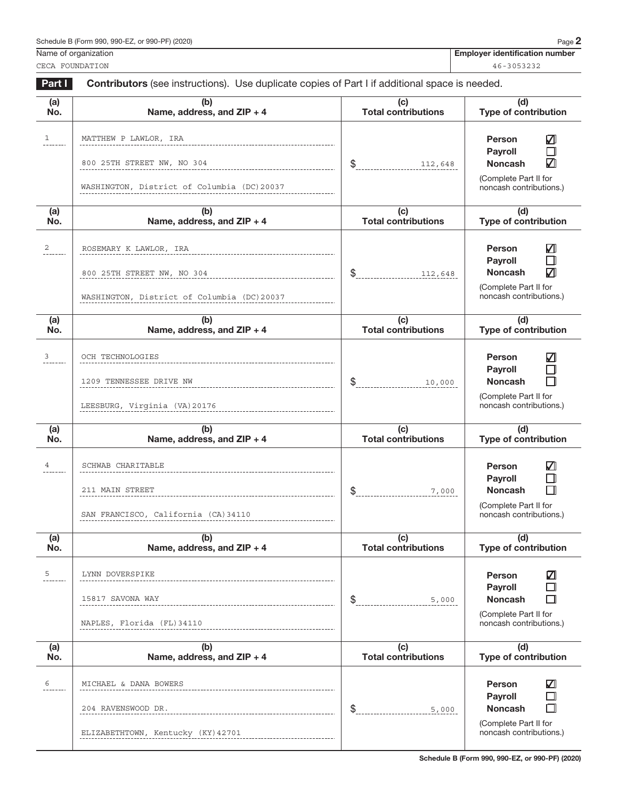CECA FOUNDATION 46-3053232

Name of organization **Employer identification number**  $\blacksquare$ 

Part I Contributors (see instructions). Use duplicate copies of Part I if additional space is needed. (a) (b) (c) (d) No. Name, address, and ZIP + 4 Total contributions Type of contribution  $1$ MATTHEW P LAWLOR, IRA  $\blacksquare$ Person Payroll П 800 25TH STREET NW, NO 304 112,648 **Noncash** \$ (Complete Part II for WASHINGTON, District of Columbia (DC)20037 noncash contributions.)  $\overline{a}$  $(b)$ (d) (c) No. Name, address, and ZIP + 4 Total contributions Type of contribution  $\overline{2}$  ROSEMARY K LAWLOR, IRA  $\overline{2}$  **Person**  $\overline{2}$ Person  $\Box$ Payroll 800 25TH STREET NW, NO 304 112,648 | S. 112,648 | Noncash | Noncash \$ (Complete Part II for WASHINGTON, District of Columbia (DC)20037 noncash contributions.) (a) (b) (c) (d) Total contributions Type of contribution No. Name, address, and ZIP + 4  $\frac{3}{2}$  OCH TECHNOLOGIES  $\Box$ Person П Payroll 1209 TENNESSEE DRIVE NW 10,000 Noncash П \$ (Complete Part II for noncash contributions.) LEESBURG, Virginia (VA)20176(d) (a) (b) (c) No. Total contributions Type of contribution Name, address, and ZIP + 4  $\overline{a}$  SCHWAB CHARITABLE  $\overline{a}$  **Person** Person  $\Box$ Payroll 211 MAIN STREET 7,000 Noncash П \$ (Complete Part II for SAN FRANCISCO, California (CA)34110 noncash contributions.)  $\overline{a}$ (c) (d) (b) No. Name, address, and ZIP + 4 Total contributions Type of contribution 5 LYNN DOVERSPIKE **DETA ALL AND SERVERS AND SERVERS AND SERVERS AND SERVERS AND SERVERS AND SERVERS AND SERVERS AND SERVERS AND SERVERS AND SERVERS AND SERVERS AND SERVERS AND SERVERS AND SERVERS AND SERVERS AND SERVERS AN** Person  $\Box$ Payroll 15817 SAVONA WAY 5,000  $\Box$ Noncash \$ (Complete Part II for NAPLES, Florida (FL)34110 noncash contributions.) (a) (b) (c) (d) No. Name, address, and ZIP + 4 Total contributions Type of contribution  $\sim$  MICHAEL & DANA BOWERS  $\sim$  **Person** Person  $\Box$ Payroll Noncash  $\Box$ 204 RAVENSWOOD DR.  $\frac{1}{2}$ (Complete Part II for noncash contributions.) ELIZABETHTOWN, Kentucky (KY)42701